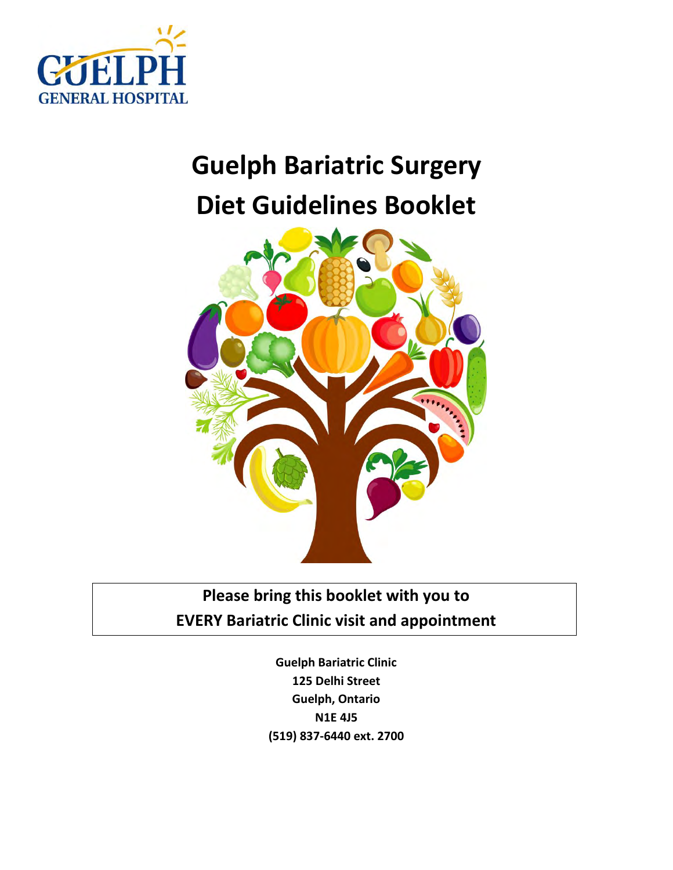

# **Guelph Bariatric Surgery Diet Guidelines Booklet**



**Please bring this booklet with you to EVERY Bariatric Clinic visit and appointment** 

> **Guelph Bariatric Clinic 125 Delhi Street Guelph, Ontario N1E 4J5 (519) 837-6440 ext. 2700**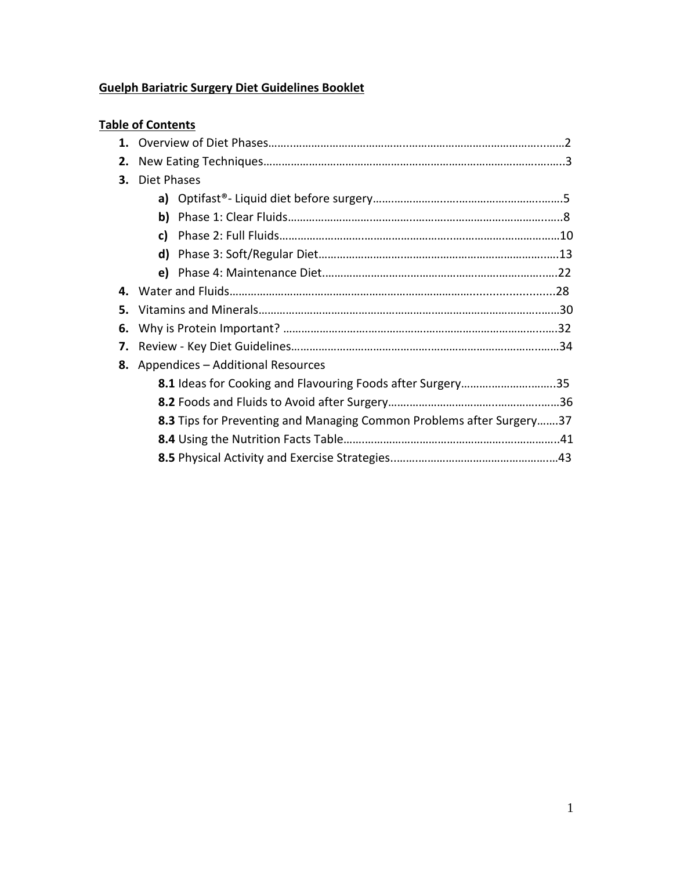## **Guelph Bariatric Surgery Diet Guidelines Booklet**

|    | <b>Table of Contents</b>                                             |  |  |  |
|----|----------------------------------------------------------------------|--|--|--|
|    |                                                                      |  |  |  |
| 2. |                                                                      |  |  |  |
| 3. | Diet Phases                                                          |  |  |  |
|    |                                                                      |  |  |  |
|    | b)                                                                   |  |  |  |
|    | c)                                                                   |  |  |  |
|    | d)                                                                   |  |  |  |
|    | e)                                                                   |  |  |  |
| 4. |                                                                      |  |  |  |
| 5. |                                                                      |  |  |  |
| 6. |                                                                      |  |  |  |
| 7. |                                                                      |  |  |  |
|    | 8. Appendices - Additional Resources                                 |  |  |  |
|    | 8.1 Ideas for Cooking and Flavouring Foods after Surgery35           |  |  |  |
|    |                                                                      |  |  |  |
|    | 8.3 Tips for Preventing and Managing Common Problems after Surgery37 |  |  |  |
|    |                                                                      |  |  |  |
|    |                                                                      |  |  |  |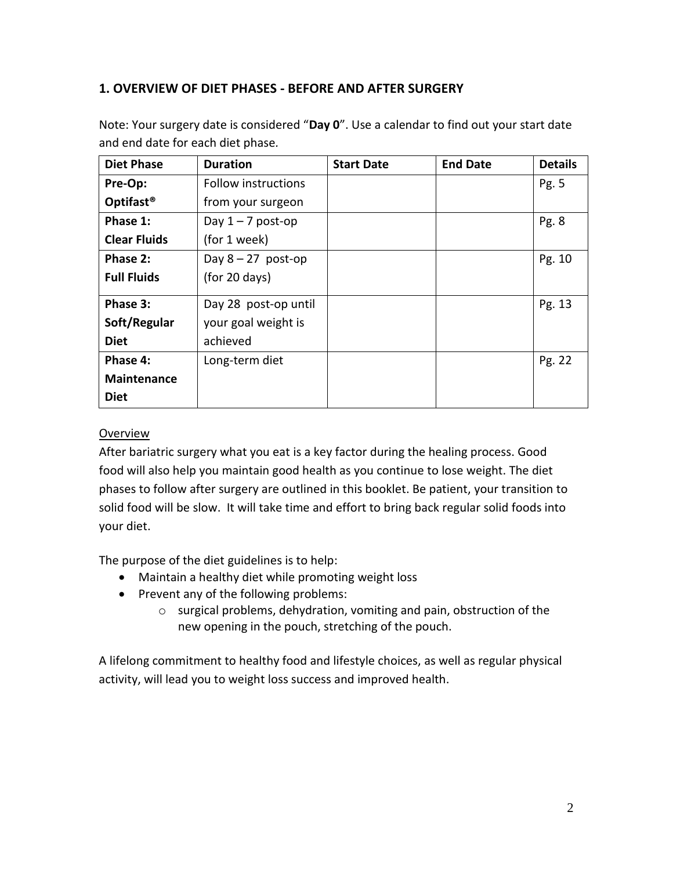## **1. OVERVIEW OF DIET PHASES - BEFORE AND AFTER SURGERY**

| <b>Diet Phase</b>     | <b>Duration</b>            | <b>Start Date</b> | <b>End Date</b> | <b>Details</b> |
|-----------------------|----------------------------|-------------------|-----------------|----------------|
| Pre-Op:               | <b>Follow instructions</b> |                   |                 | Pg. 5          |
| Optifast <sup>®</sup> | from your surgeon          |                   |                 |                |
| Phase 1:              | Day $1 - 7$ post-op        |                   |                 | Pg.8           |
| <b>Clear Fluids</b>   | (for 1 week)               |                   |                 |                |
| Phase 2:              | Day $8 - 27$ post-op       |                   |                 | Pg. 10         |
| <b>Full Fluids</b>    | (for 20 days)              |                   |                 |                |
| Phase 3:              | Day 28 post-op until       |                   |                 | Pg. 13         |
| Soft/Regular          | your goal weight is        |                   |                 |                |
| <b>Diet</b>           | achieved                   |                   |                 |                |
| Phase 4:              | Long-term diet             |                   |                 | Pg. 22         |
| <b>Maintenance</b>    |                            |                   |                 |                |
| <b>Diet</b>           |                            |                   |                 |                |

Note: Your surgery date is considered "**Day 0**". Use a calendar to find out your start date and end date for each diet phase*.* 

#### **Overview**

After bariatric surgery what you eat is a key factor during the healing process. Good food will also help you maintain good health as you continue to lose weight. The diet phases to follow after surgery are outlined in this booklet. Be patient, your transition to solid food will be slow. It will take time and effort to bring back regular solid foods into your diet.

The purpose of the diet guidelines is to help:

- Maintain a healthy diet while promoting weight loss
- Prevent any of the following problems:
	- o surgical problems, dehydration, vomiting and pain, obstruction of the new opening in the pouch, stretching of the pouch.

A lifelong commitment to healthy food and lifestyle choices, as well as regular physical activity, will lead you to weight loss success and improved health.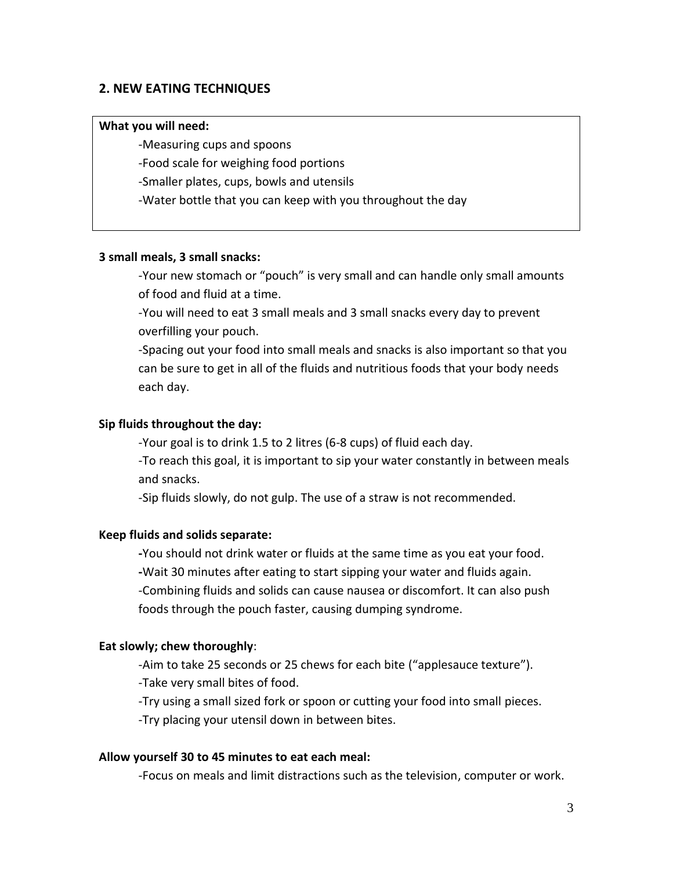#### **2. NEW EATING TECHNIQUES**

#### **What you will need:**

-Measuring cups and spoons

-Food scale for weighing food portions

-Smaller plates, cups, bowls and utensils

-Water bottle that you can keep with you throughout the day

#### **3 small meals, 3 small snacks:**

-Your new stomach or "pouch" is very small and can handle only small amounts of food and fluid at a time.

-You will need to eat 3 small meals and 3 small snacks every day to prevent overfilling your pouch.

-Spacing out your food into small meals and snacks is also important so that you can be sure to get in all of the fluids and nutritious foods that your body needs each day.

#### **Sip fluids throughout the day:**

-Your goal is to drink 1.5 to 2 litres (6-8 cups) of fluid each day.

-To reach this goal, it is important to sip your water constantly in between meals and snacks.

-Sip fluids slowly, do not gulp. The use of a straw is not recommended.

#### **Keep fluids and solids separate:**

**-**You should not drink water or fluids at the same time as you eat your food. **-**Wait 30 minutes after eating to start sipping your water and fluids again. -Combining fluids and solids can cause nausea or discomfort. It can also push foods through the pouch faster, causing dumping syndrome.

#### **Eat slowly; chew thoroughly**:

-Aim to take 25 seconds or 25 chews for each bite ("applesauce texture"). -Take very small bites of food.

-Try using a small sized fork or spoon or cutting your food into small pieces. -Try placing your utensil down in between bites.

#### **Allow yourself 30 to 45 minutes to eat each meal:**

-Focus on meals and limit distractions such as the television, computer or work.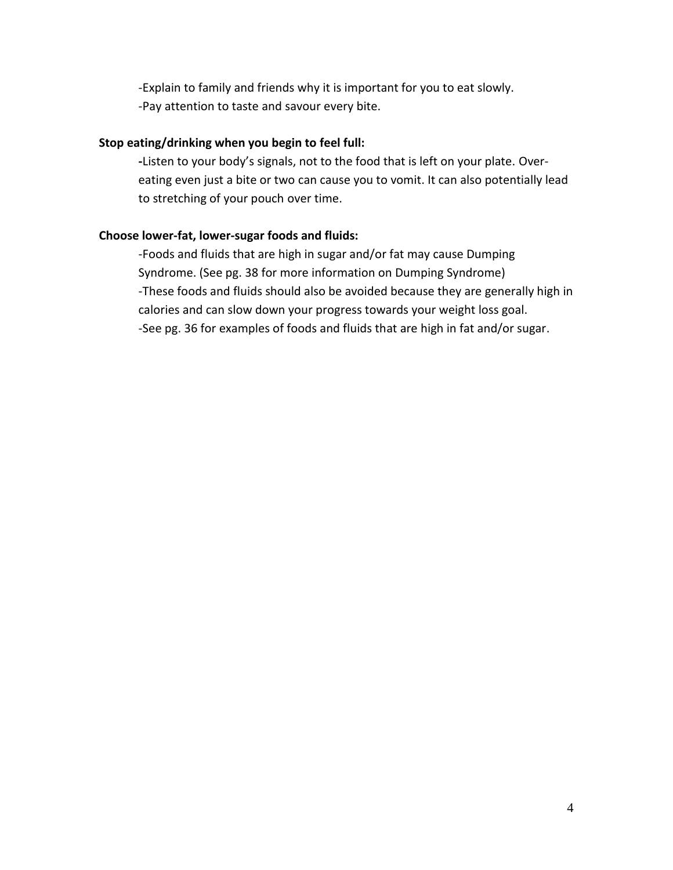-Explain to family and friends why it is important for you to eat slowly. -Pay attention to taste and savour every bite.

#### **Stop eating/drinking when you begin to feel full:**

**-**Listen to your body's signals, not to the food that is left on your plate. Overeating even just a bite or two can cause you to vomit. It can also potentially lead to stretching of your pouch over time.

#### **Choose lower-fat, lower-sugar foods and fluids:**

-Foods and fluids that are high in sugar and/or fat may cause Dumping Syndrome. (See pg. 38 for more information on Dumping Syndrome) -These foods and fluids should also be avoided because they are generally high in calories and can slow down your progress towards your weight loss goal. -See pg. 36 for examples of foods and fluids that are high in fat and/or sugar.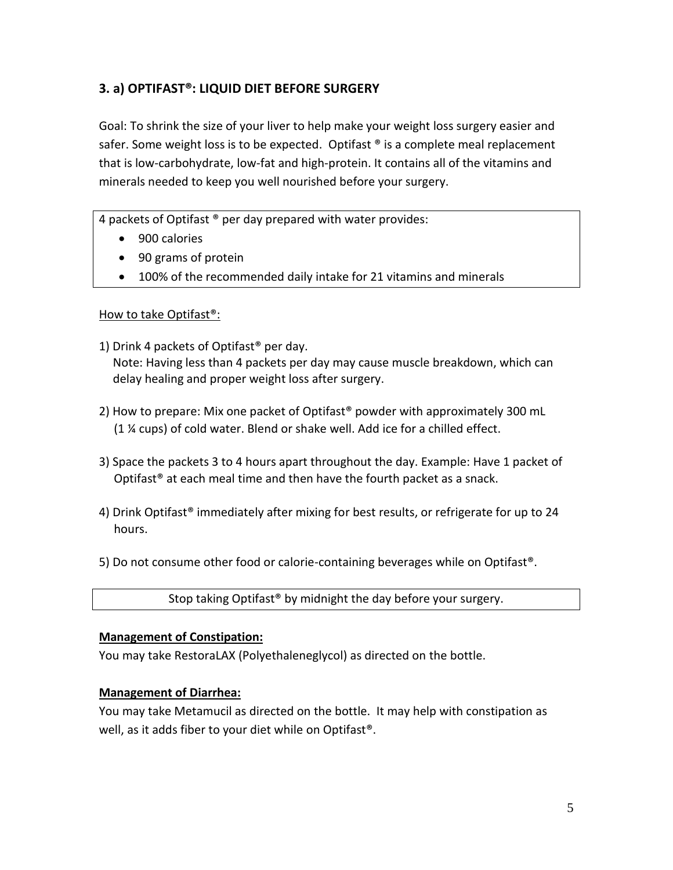## **3. a) OPTIFAST®: LIQUID DIET BEFORE SURGERY**

Goal: To shrink the size of your liver to help make your weight loss surgery easier and safer. Some weight loss is to be expected. Optifast ® is a complete meal replacement that is low-carbohydrate, low-fat and high-protein. It contains all of the vitamins and minerals needed to keep you well nourished before your surgery.

4 packets of Optifast ® per day prepared with water provides:

- 900 calories
- 90 grams of protein
- 100% of the recommended daily intake for 21 vitamins and minerals

#### How to take Optifast®:

- 1) Drink 4 packets of Optifast® per day. Note: Having less than 4 packets per day may cause muscle breakdown, which can delay healing and proper weight loss after surgery.
- 2) How to prepare: Mix one packet of Optifast® powder with approximately 300 mL (1 ¼ cups) of cold water. Blend or shake well. Add ice for a chilled effect.
- 3) Space the packets 3 to 4 hours apart throughout the day. Example: Have 1 packet of Optifast® at each meal time and then have the fourth packet as a snack.
- 4) Drink Optifast® immediately after mixing for best results, or refrigerate for up to 24 hours.
- 5) Do not consume other food or calorie-containing beverages while on Optifast®.

Stop taking Optifast® by midnight the day before your surgery.

#### **Management of Constipation:**

You may take RestoraLAX (Polyethaleneglycol) as directed on the bottle.

#### **Management of Diarrhea:**

You may take Metamucil as directed on the bottle. It may help with constipation as well, as it adds fiber to your diet while on Optifast®.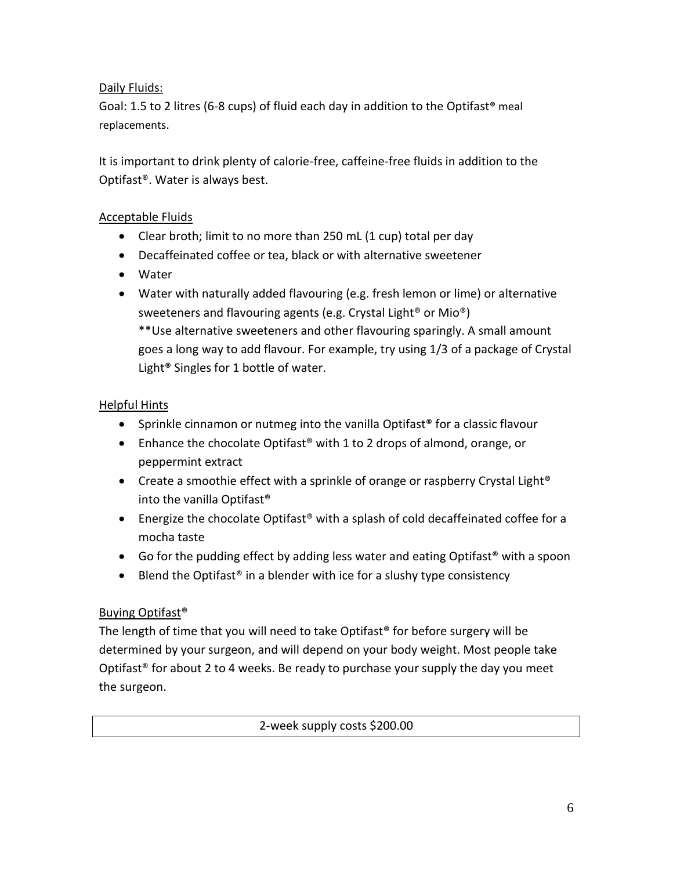## Daily Fluids:

Goal: 1.5 to 2 litres (6-8 cups) of fluid each day in addition to the Optifast<sup>®</sup> meal replacements.

It is important to drink plenty of calorie-free, caffeine-free fluids in addition to the Optifast®. Water is always best.

## Acceptable Fluids

- Clear broth; limit to no more than 250 mL (1 cup) total per day
- Decaffeinated coffee or tea, black or with alternative sweetener
- Water
- Water with naturally added flavouring (e.g. fresh lemon or lime) or alternative sweeteners and flavouring agents (e.g. Crystal Light® or Mio®) \*\*Use alternative sweeteners and other flavouring sparingly. A small amount goes a long way to add flavour. For example, try using 1/3 of a package of Crystal Light® Singles for 1 bottle of water.

#### Helpful Hints

- Sprinkle cinnamon or nutmeg into the vanilla Optifast<sup>®</sup> for a classic flavour
- Enhance the chocolate Optifast<sup>®</sup> with 1 to 2 drops of almond, orange, or peppermint extract
- Create a smoothie effect with a sprinkle of orange or raspberry Crystal Light<sup>®</sup> into the vanilla Optifast®
- Energize the chocolate Optifast<sup>®</sup> with a splash of cold decaffeinated coffee for a mocha taste
- Go for the pudding effect by adding less water and eating Optifast<sup>®</sup> with a spoon
- Example Blend the Optifast<sup>®</sup> in a blender with ice for a slushy type consistency

## Buying Optifast®

The length of time that you will need to take Optifast<sup>®</sup> for before surgery will be determined by your surgeon, and will depend on your body weight. Most people take Optifast<sup>®</sup> for about 2 to 4 weeks. Be ready to purchase your supply the day you meet the surgeon.

#### 2-week supply costs \$200.00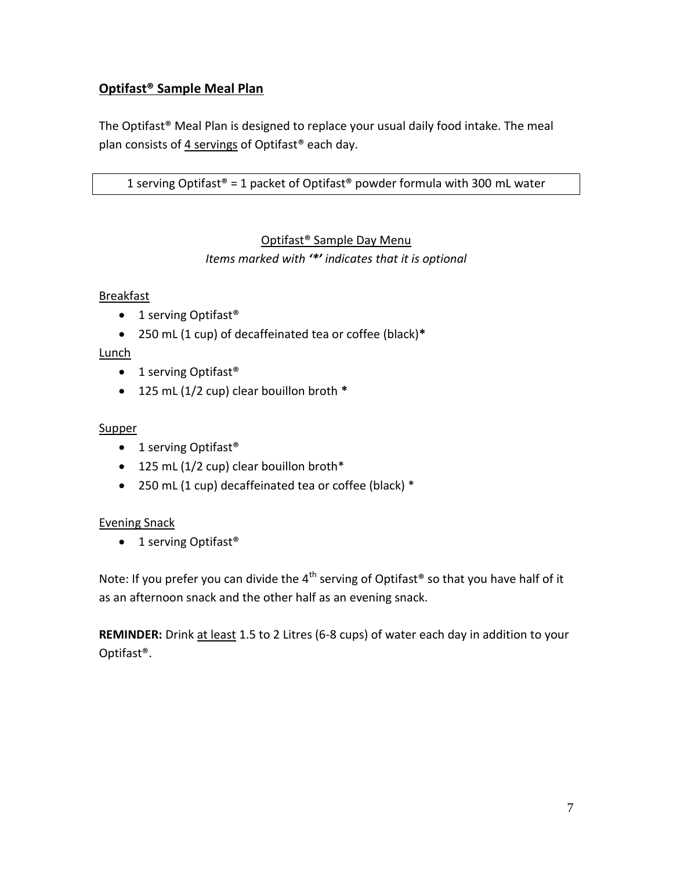## **Optifast® Sample Meal Plan**

The Optifast® Meal Plan is designed to replace your usual daily food intake. The meal plan consists of 4 servings of Optifast® each day.

## 1 serving Optifast<sup>®</sup> = 1 packet of Optifast<sup>®</sup> powder formula with 300 mL water

## Optifast® Sample Day Menu

*Items marked with '\*' indicates that it is optional* 

#### Breakfast

- 1 serving Optifast<sup>®</sup>
- 250 mL (1 cup) of decaffeinated tea or coffee (black)**\***

## Lunch

- 1 serving Optifast<sup>®</sup>
- 125 mL (1/2 cup) clear bouillon broth **\***

## **Supper**

- 1 serving Optifast<sup>®</sup>
- 125 mL (1/2 cup) clear bouillon broth\*
- 250 mL (1 cup) decaffeinated tea or coffee (black) \*

#### Evening Snack

• 1 serving Optifast<sup>®</sup>

Note: If you prefer you can divide the  $4<sup>th</sup>$  serving of Optifast<sup>®</sup> so that you have half of it as an afternoon snack and the other half as an evening snack.

**REMINDER:** Drink at least 1.5 to 2 Litres (6-8 cups) of water each day in addition to your Optifast®.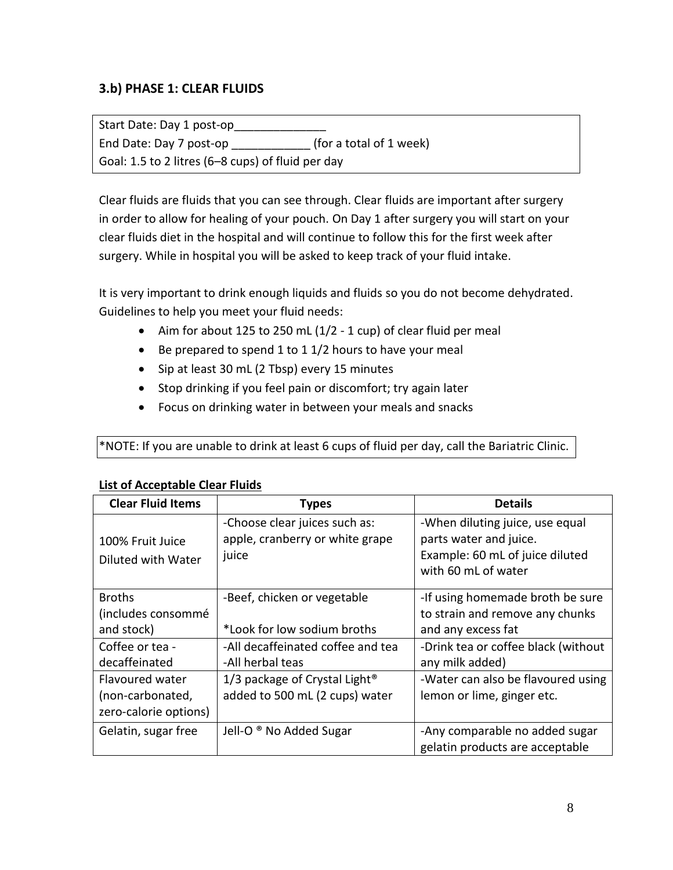## **3.b) PHASE 1: CLEAR FLUIDS**

Start Date: Day 1 post-op End Date: Day 7 post-op \_\_\_\_\_\_\_\_\_\_\_\_ (for a total of 1 week) Goal: 1.5 to 2 litres (6–8 cups) of fluid per day

Clear fluids are fluids that you can see through. Clear fluids are important after surgery in order to allow for healing of your pouch. On Day 1 after surgery you will start on your clear fluids diet in the hospital and will continue to follow this for the first week after surgery. While in hospital you will be asked to keep track of your fluid intake.

It is very important to drink enough liquids and fluids so you do not become dehydrated. Guidelines to help you meet your fluid needs:

- Aim for about 125 to 250 mL (1/2 1 cup) of clear fluid per meal
- Be prepared to spend 1 to 1 1/2 hours to have your meal
- Sip at least 30 mL (2 Tbsp) every 15 minutes
- Stop drinking if you feel pain or discomfort; try again later
- Focus on drinking water in between your meals and snacks

\*NOTE: If you are unable to drink at least 6 cups of fluid per day, call the Bariatric Clinic.

| <b>Clear Fluid Items</b>               | <b>Types</b>                                                              | <b>Details</b>                                                                                                      |
|----------------------------------------|---------------------------------------------------------------------------|---------------------------------------------------------------------------------------------------------------------|
| 100% Fruit Juice<br>Diluted with Water | -Choose clear juices such as:<br>apple, cranberry or white grape<br>juice | -When diluting juice, use equal<br>parts water and juice.<br>Example: 60 mL of juice diluted<br>with 60 mL of water |
| <b>Broths</b>                          | -Beef, chicken or vegetable                                               | -If using homemade broth be sure                                                                                    |
| (includes consommé                     |                                                                           | to strain and remove any chunks                                                                                     |
| and stock)                             | *Look for low sodium broths                                               | and any excess fat                                                                                                  |
| Coffee or tea -                        | -All decaffeinated coffee and tea                                         | -Drink tea or coffee black (without                                                                                 |
| decaffeinated                          | -All herbal teas                                                          | any milk added)                                                                                                     |
| Flavoured water                        | 1/3 package of Crystal Light <sup>®</sup>                                 | -Water can also be flavoured using                                                                                  |
| (non-carbonated,                       | added to 500 mL (2 cups) water                                            | lemon or lime, ginger etc.                                                                                          |
| zero-calorie options)                  |                                                                           |                                                                                                                     |
| Gelatin, sugar free                    | Jell-O ® No Added Sugar                                                   | -Any comparable no added sugar<br>gelatin products are acceptable                                                   |

#### **List of Acceptable Clear Fluids**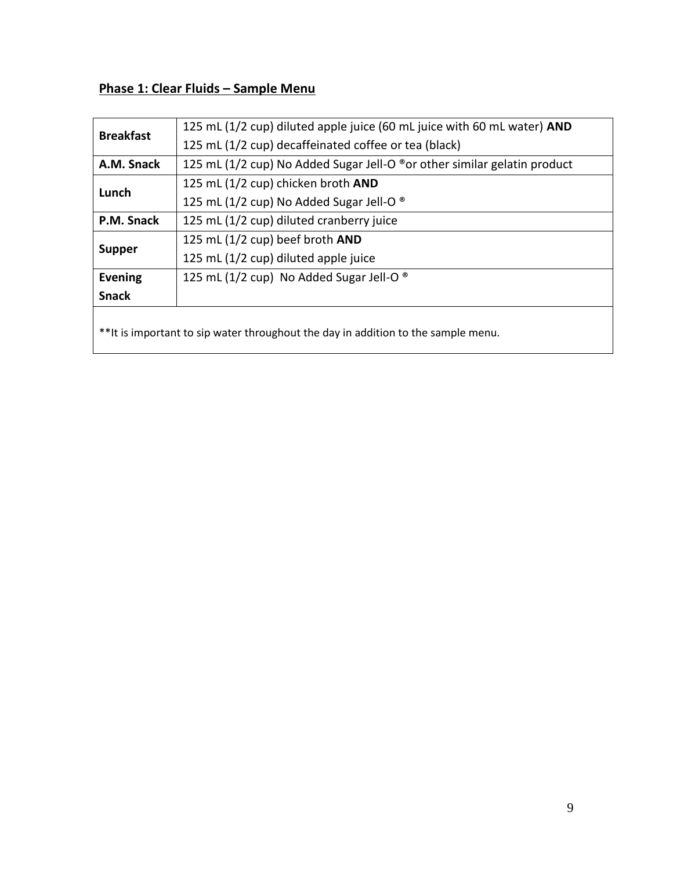## **Phase 1: Clear Fluids – Sample Menu**

| <b>Breakfast</b>                                                                  | 125 mL (1/2 cup) diluted apple juice (60 mL juice with 60 mL water) AND  |  |
|-----------------------------------------------------------------------------------|--------------------------------------------------------------------------|--|
|                                                                                   | 125 mL (1/2 cup) decaffeinated coffee or tea (black)                     |  |
| A.M. Snack                                                                        | 125 mL (1/2 cup) No Added Sugar Jell-O ®or other similar gelatin product |  |
| Lunch                                                                             | 125 mL (1/2 cup) chicken broth AND                                       |  |
|                                                                                   | 125 mL (1/2 cup) No Added Sugar Jell-O ®                                 |  |
| P.M. Snack                                                                        | 125 mL (1/2 cup) diluted cranberry juice                                 |  |
|                                                                                   | 125 mL $(1/2$ cup) beef broth AND                                        |  |
| <b>Supper</b>                                                                     | 125 mL (1/2 cup) diluted apple juice                                     |  |
| <b>Evening</b>                                                                    | 125 mL (1/2 cup) No Added Sugar Jell-O $^{\circ}$                        |  |
| <b>Snack</b>                                                                      |                                                                          |  |
|                                                                                   |                                                                          |  |
| **It is important to sip water throughout the day in addition to the sample menu. |                                                                          |  |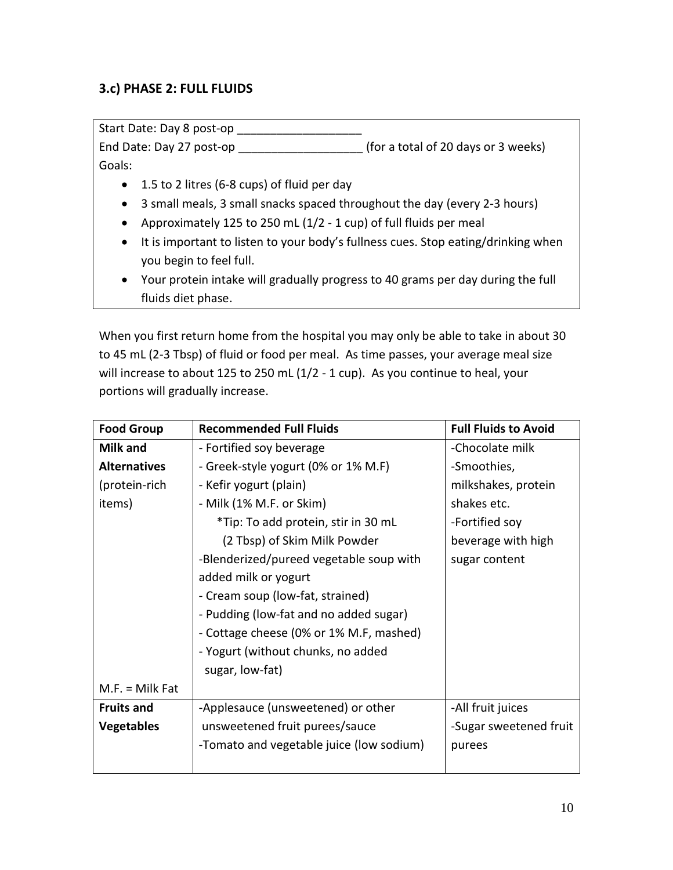## **3.c) PHASE 2: FULL FLUIDS**

Start Date: Day 8 post-op \_\_\_\_\_\_\_\_\_\_\_\_\_\_

End Date: Day 27 post-op **End Date:** Day 27 post-op Goals:

- 1.5 to 2 litres (6-8 cups) of fluid per day
- 3 small meals, 3 small snacks spaced throughout the day (every 2-3 hours)
- Approximately 125 to 250 mL  $(1/2 1 \text{ cup})$  of full fluids per meal
- It is important to listen to your body's fullness cues. Stop eating/drinking when you begin to feel full.
- Your protein intake will gradually progress to 40 grams per day during the full fluids diet phase.

When you first return home from the hospital you may only be able to take in about 30 to 45 mL (2-3 Tbsp) of fluid or food per meal. As time passes, your average meal size will increase to about 125 to 250 mL (1/2 - 1 cup). As you continue to heal, your portions will gradually increase.

| <b>Food Group</b>   | <b>Recommended Full Fluids</b>           | <b>Full Fluids to Avoid</b> |
|---------------------|------------------------------------------|-----------------------------|
| Milk and            | - Fortified soy beverage                 | -Chocolate milk             |
| <b>Alternatives</b> | - Greek-style yogurt (0% or 1% M.F)      | -Smoothies,                 |
| (protein-rich       | - Kefir yogurt (plain)                   | milkshakes, protein         |
| items)              | - Milk (1% M.F. or Skim)                 | shakes etc.                 |
|                     | *Tip: To add protein, stir in 30 mL      | -Fortified soy              |
|                     | (2 Tbsp) of Skim Milk Powder             | beverage with high          |
|                     | -Blenderized/pureed vegetable soup with  | sugar content               |
|                     | added milk or yogurt                     |                             |
|                     | - Cream soup (low-fat, strained)         |                             |
|                     | - Pudding (low-fat and no added sugar)   |                             |
|                     | - Cottage cheese (0% or 1% M.F, mashed)  |                             |
|                     | - Yogurt (without chunks, no added       |                             |
|                     | sugar, low-fat)                          |                             |
| $M.F. =$ Milk Fat   |                                          |                             |
| <b>Fruits and</b>   | -Applesauce (unsweetened) or other       | -All fruit juices           |
| <b>Vegetables</b>   | unsweetened fruit purees/sauce           | -Sugar sweetened fruit      |
|                     | -Tomato and vegetable juice (low sodium) | purees                      |
|                     |                                          |                             |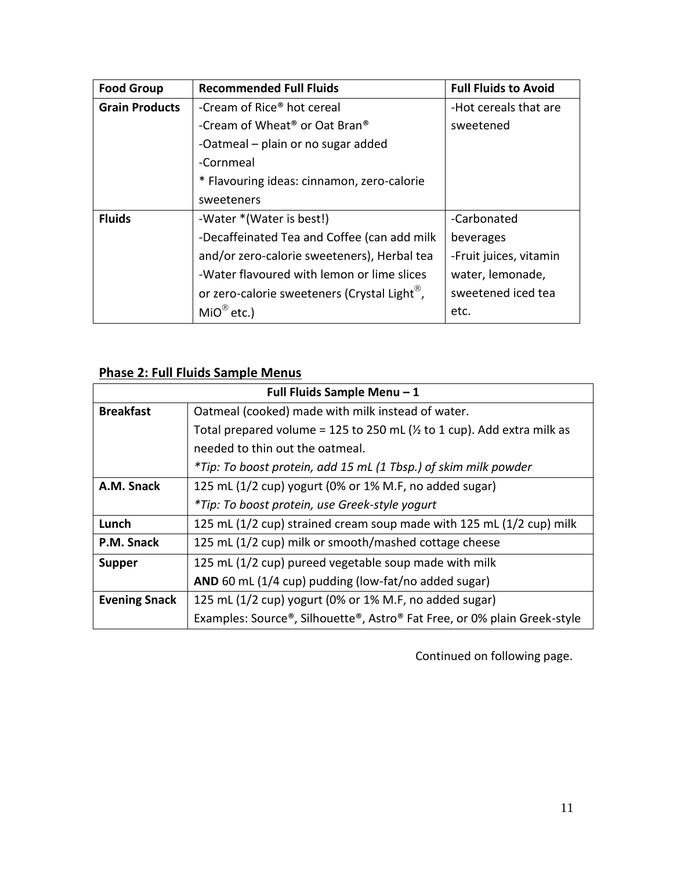| <b>Food Group</b>     | <b>Recommended Full Fluids</b>                           | <b>Full Fluids to Avoid</b> |
|-----------------------|----------------------------------------------------------|-----------------------------|
| <b>Grain Products</b> | -Cream of Rice <sup>®</sup> hot cereal                   | -Hot cereals that are       |
|                       | -Cream of Wheat <sup>®</sup> or Oat Bran <sup>®</sup>    | sweetened                   |
|                       | -Oatmeal - plain or no sugar added                       |                             |
|                       | -Cornmeal                                                |                             |
|                       | * Flavouring ideas: cinnamon, zero-calorie               |                             |
|                       | sweeteners                                               |                             |
| <b>Fluids</b>         | -Water *(Water is best!)                                 | -Carbonated                 |
|                       | -Decaffeinated Tea and Coffee (can add milk              | beverages                   |
|                       | and/or zero-calorie sweeteners), Herbal tea              | -Fruit juices, vitamin      |
|                       | -Water flavoured with lemon or lime slices               | water, lemonade,            |
|                       | or zero-calorie sweeteners (Crystal Light <sup>®</sup> , | sweetened iced tea          |
|                       | $MIO^{\circledR}$ etc.)                                  | etc.                        |

## **Phase 2: Full Fluids Sample Menus**

| Full Fluids Sample Menu - 1 |                                                                                    |  |  |
|-----------------------------|------------------------------------------------------------------------------------|--|--|
| <b>Breakfast</b>            | Oatmeal (cooked) made with milk instead of water.                                  |  |  |
|                             | Total prepared volume = 125 to 250 mL ( $\frac{1}{2}$ to 1 cup). Add extra milk as |  |  |
|                             | needed to thin out the oatmeal.                                                    |  |  |
|                             | *Tip: To boost protein, add 15 mL (1 Tbsp.) of skim milk powder                    |  |  |
| A.M. Snack                  | 125 mL (1/2 cup) yogurt (0% or 1% M.F, no added sugar)                             |  |  |
|                             | *Tip: To boost protein, use Greek-style yogurt                                     |  |  |
| Lunch                       | 125 mL (1/2 cup) strained cream soup made with 125 mL (1/2 cup) milk               |  |  |
| P.M. Snack                  | 125 mL (1/2 cup) milk or smooth/mashed cottage cheese                              |  |  |
| <b>Supper</b>               | 125 mL (1/2 cup) pureed vegetable soup made with milk                              |  |  |
|                             | AND 60 mL (1/4 cup) pudding (low-fat/no added sugar)                               |  |  |
| <b>Evening Snack</b>        | 125 mL (1/2 cup) yogurt (0% or 1% M.F, no added sugar)                             |  |  |
|                             | Examples: Source®, Silhouette®, Astro® Fat Free, or 0% plain Greek-style           |  |  |

Continued on following page.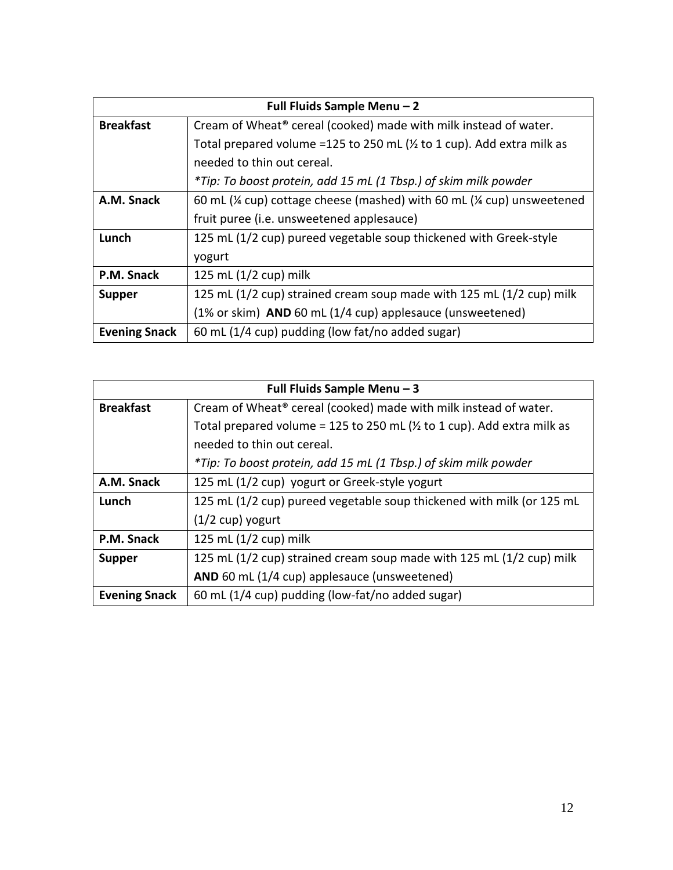| Full Fluids Sample Menu - 2 |                                                                                                |  |  |  |
|-----------------------------|------------------------------------------------------------------------------------------------|--|--|--|
| <b>Breakfast</b>            | Cream of Wheat <sup>®</sup> cereal (cooked) made with milk instead of water.                   |  |  |  |
|                             | Total prepared volume =125 to 250 mL ( $\frac{1}{2}$ to 1 cup). Add extra milk as              |  |  |  |
|                             | needed to thin out cereal.                                                                     |  |  |  |
|                             | *Tip: To boost protein, add 15 mL (1 Tbsp.) of skim milk powder                                |  |  |  |
| A.M. Snack                  | 60 mL ( $\frac{1}{4}$ cup) cottage cheese (mashed) with 60 mL ( $\frac{1}{4}$ cup) unsweetened |  |  |  |
|                             | fruit puree (i.e. unsweetened applesauce)                                                      |  |  |  |
| Lunch                       | 125 mL (1/2 cup) pureed vegetable soup thickened with Greek-style                              |  |  |  |
|                             | yogurt                                                                                         |  |  |  |
| P.M. Snack                  | 125 mL (1/2 cup) milk                                                                          |  |  |  |
| <b>Supper</b>               | 125 mL (1/2 cup) strained cream soup made with 125 mL (1/2 cup) milk                           |  |  |  |
|                             | (1% or skim) AND 60 mL (1/4 cup) applesauce (unsweetened)                                      |  |  |  |
| <b>Evening Snack</b>        | 60 mL (1/4 cup) pudding (low fat/no added sugar)                                               |  |  |  |

| Full Fluids Sample Menu - 3 |                                                                                    |  |  |
|-----------------------------|------------------------------------------------------------------------------------|--|--|
| <b>Breakfast</b>            | Cream of Wheat <sup>®</sup> cereal (cooked) made with milk instead of water.       |  |  |
|                             | Total prepared volume = 125 to 250 mL ( $\frac{1}{2}$ to 1 cup). Add extra milk as |  |  |
|                             | needed to thin out cereal.                                                         |  |  |
|                             | *Tip: To boost protein, add 15 mL (1 Tbsp.) of skim milk powder                    |  |  |
| A.M. Snack                  | 125 mL (1/2 cup) yogurt or Greek-style yogurt                                      |  |  |
| Lunch                       | 125 mL (1/2 cup) pureed vegetable soup thickened with milk (or 125 mL              |  |  |
|                             | $(1/2 \text{ cup})$ yogurt                                                         |  |  |
| P.M. Snack                  | 125 mL $(1/2$ cup) milk                                                            |  |  |
| <b>Supper</b>               | 125 mL (1/2 cup) strained cream soup made with 125 mL (1/2 cup) milk               |  |  |
|                             | AND 60 mL (1/4 cup) applesauce (unsweetened)                                       |  |  |
| <b>Evening Snack</b>        | 60 mL (1/4 cup) pudding (low-fat/no added sugar)                                   |  |  |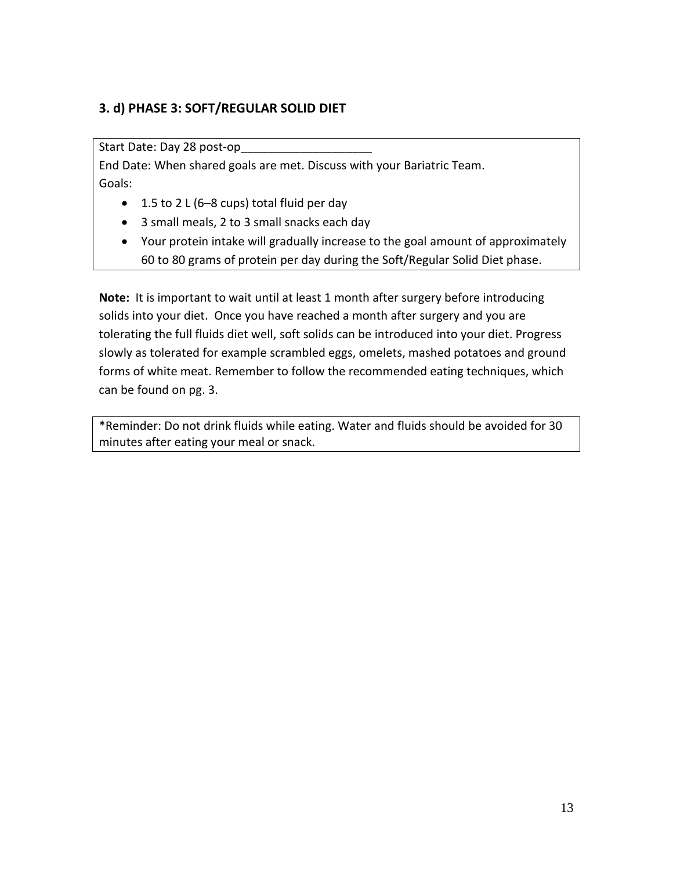## **3. d) PHASE 3: SOFT/REGULAR SOLID DIET**

Start Date: Day 28 post-op

End Date: When shared goals are met. Discuss with your Bariatric Team. Goals:

- $\bullet$  1.5 to 2 L (6–8 cups) total fluid per day
- 3 small meals, 2 to 3 small snacks each day
- Your protein intake will gradually increase to the goal amount of approximately 60 to 80 grams of protein per day during the Soft/Regular Solid Diet phase.

**Note:** It is important to wait until at least 1 month after surgery before introducing solids into your diet. Once you have reached a month after surgery and you are tolerating the full fluids diet well, soft solids can be introduced into your diet. Progress slowly as tolerated for example scrambled eggs, omelets, mashed potatoes and ground forms of white meat. Remember to follow the recommended eating techniques, which can be found on pg. 3.

\*Reminder: Do not drink fluids while eating. Water and fluids should be avoided for 30 minutes after eating your meal or snack.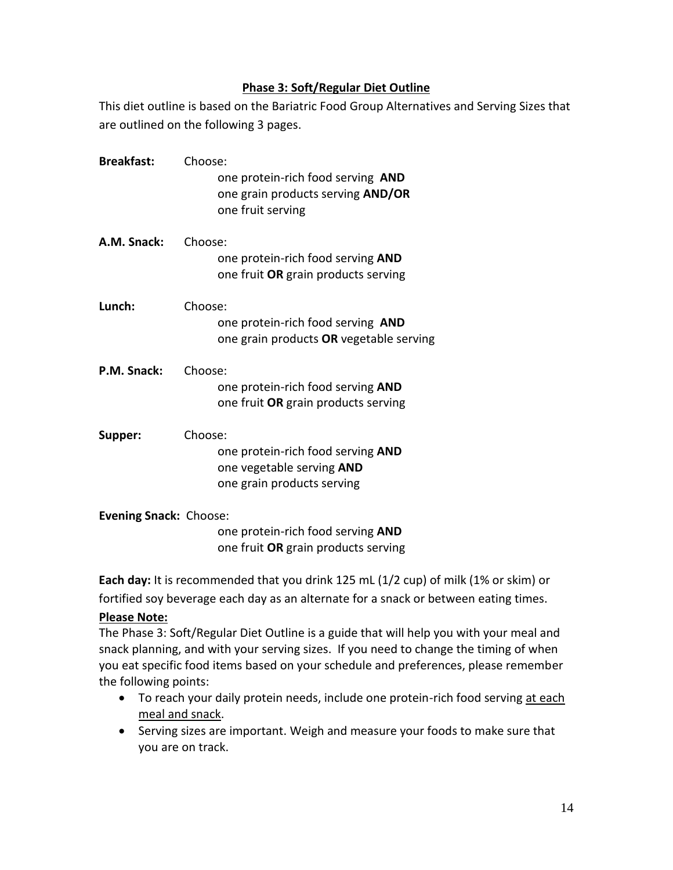#### **Phase 3: Soft/Regular Diet Outline**

This diet outline is based on the Bariatric Food Group Alternatives and Serving Sizes that are outlined on the following 3 pages.

| <b>Breakfast:</b>             | Choose:<br>one protein-rich food serving AND<br>one grain products serving AND/OR<br>one fruit serving  |
|-------------------------------|---------------------------------------------------------------------------------------------------------|
| A.M. Snack:                   | Choose:<br>one protein-rich food serving AND<br>one fruit OR grain products serving                     |
| Lunch:                        | Choose:<br>one protein-rich food serving AND<br>one grain products OR vegetable serving                 |
| P.M. Snack:                   | Choose:<br>one protein-rich food serving AND<br>one fruit OR grain products serving                     |
| Supper:                       | Choose:<br>one protein-rich food serving AND<br>one vegetable serving AND<br>one grain products serving |
| <b>Evening Snack: Choose:</b> | one protein-rich food serving AND<br>one fruit OR grain products serving                                |

**Each day:** It is recommended that you drink 125 mL (1/2 cup) of milk (1% or skim) or fortified soy beverage each day as an alternate for a snack or between eating times.

#### **Please Note:**

The Phase 3: Soft/Regular Diet Outline is a guide that will help you with your meal and snack planning, and with your serving sizes. If you need to change the timing of when you eat specific food items based on your schedule and preferences, please remember the following points:

- To reach your daily protein needs, include one protein-rich food serving at each meal and snack.
- Serving sizes are important. Weigh and measure your foods to make sure that you are on track.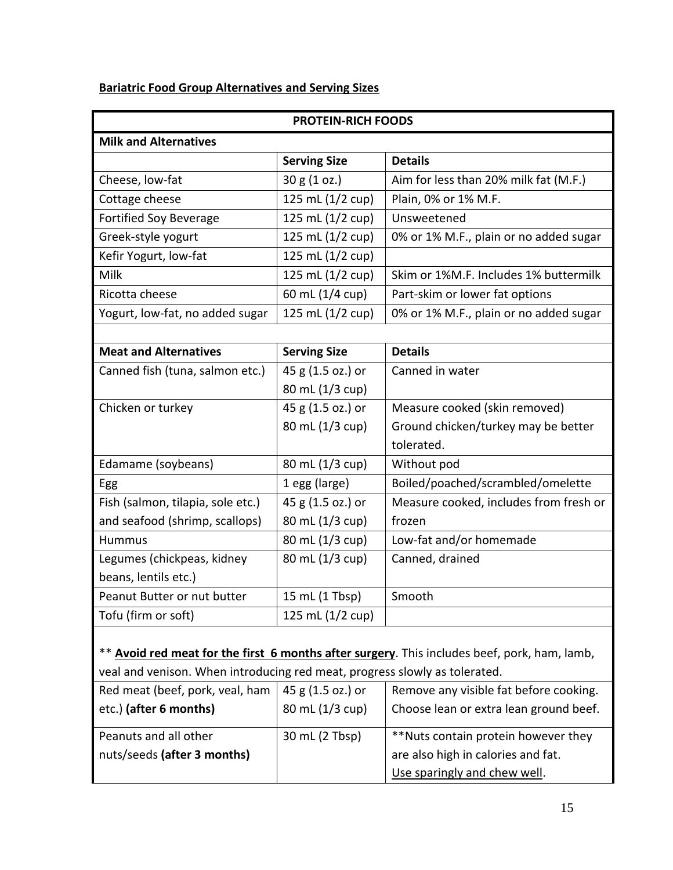## **Bariatric Food Group Alternatives and Serving Sizes**

| <b>PROTEIN-RICH FOODS</b>                                                                    |                     |                                        |  |
|----------------------------------------------------------------------------------------------|---------------------|----------------------------------------|--|
| <b>Milk and Alternatives</b>                                                                 |                     |                                        |  |
|                                                                                              | <b>Serving Size</b> | <b>Details</b>                         |  |
| Cheese, low-fat                                                                              | 30 g (1 oz.)        | Aim for less than 20% milk fat (M.F.)  |  |
| Cottage cheese                                                                               | 125 mL (1/2 cup)    | Plain, 0% or 1% M.F.                   |  |
| <b>Fortified Soy Beverage</b>                                                                | 125 mL (1/2 cup)    | Unsweetened                            |  |
| Greek-style yogurt                                                                           | 125 mL (1/2 cup)    | 0% or 1% M.F., plain or no added sugar |  |
| Kefir Yogurt, low-fat                                                                        | 125 mL (1/2 cup)    |                                        |  |
| Milk                                                                                         | 125 mL (1/2 cup)    | Skim or 1%M.F. Includes 1% buttermilk  |  |
| Ricotta cheese                                                                               | 60 mL (1/4 cup)     | Part-skim or lower fat options         |  |
| Yogurt, low-fat, no added sugar                                                              | 125 mL (1/2 cup)    | 0% or 1% M.F., plain or no added sugar |  |
|                                                                                              |                     |                                        |  |
| <b>Meat and Alternatives</b>                                                                 | <b>Serving Size</b> | <b>Details</b>                         |  |
| Canned fish (tuna, salmon etc.)                                                              | 45 g (1.5 oz.) or   | Canned in water                        |  |
|                                                                                              | 80 mL (1/3 cup)     |                                        |  |
| Chicken or turkey                                                                            | 45 g (1.5 oz.) or   | Measure cooked (skin removed)          |  |
|                                                                                              | 80 mL (1/3 cup)     | Ground chicken/turkey may be better    |  |
|                                                                                              |                     | tolerated.                             |  |
| Edamame (soybeans)                                                                           | 80 mL (1/3 cup)     | Without pod                            |  |
| Egg                                                                                          | 1 egg (large)       | Boiled/poached/scrambled/omelette      |  |
| Fish (salmon, tilapia, sole etc.)                                                            | 45 g (1.5 oz.) or   | Measure cooked, includes from fresh or |  |
| and seafood (shrimp, scallops)                                                               | 80 mL (1/3 cup)     | frozen                                 |  |
| <b>Hummus</b>                                                                                | 80 mL (1/3 cup)     | Low-fat and/or homemade                |  |
| Legumes (chickpeas, kidney                                                                   | 80 mL (1/3 cup)     | Canned, drained                        |  |
| beans, lentils etc.)                                                                         |                     |                                        |  |
| Peanut Butter or nut butter                                                                  | 15 mL (1 Tbsp)      | Smooth                                 |  |
| Tofu (firm or soft)                                                                          | 125 mL (1/2 cup)    |                                        |  |
|                                                                                              |                     |                                        |  |
| ** Avoid red meat for the first 6 months after surgery. This includes beef, pork, ham, lamb, |                     |                                        |  |
| veal and venison. When introducing red meat, progress slowly as tolerated.                   |                     |                                        |  |

| Red meat (beef, pork, veal, ham | 45 g (1.5 oz.) or | Remove any visible fat before cooking. |  |
|---------------------------------|-------------------|----------------------------------------|--|
| etc.) (after 6 months)          | 80 mL (1/3 cup)   | Choose lean or extra lean ground beef. |  |
| Peanuts and all other           | 30 mL (2 Tbsp)    | **Nuts contain protein however they    |  |
| nuts/seeds (after 3 months)     |                   | are also high in calories and fat.     |  |
|                                 |                   | Use sparingly and chew well.           |  |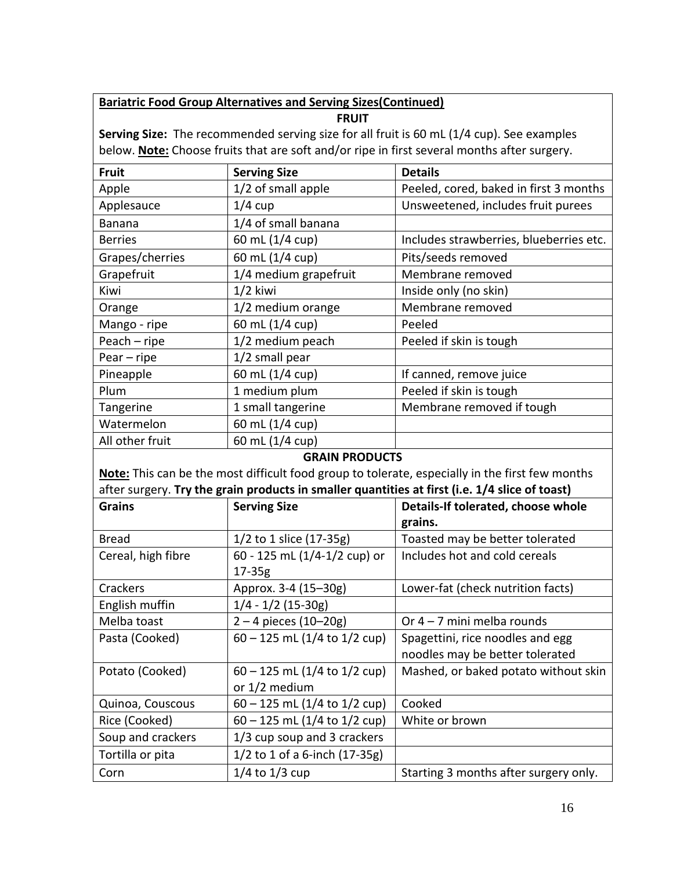## **Bariatric Food Group Alternatives and Serving Sizes(Continued)**

**FRUIT**

**Serving Size:** The recommended serving size for all fruit is 60 mL (1/4 cup). See examples below. **Note:** Choose fruits that are soft and/or ripe in first several months after surgery.

| <b>Fruit</b>    | <b>Serving Size</b>   | <b>Details</b>                          |
|-----------------|-----------------------|-----------------------------------------|
| Apple           | 1/2 of small apple    | Peeled, cored, baked in first 3 months  |
| Applesauce      | $1/4$ cup             | Unsweetened, includes fruit purees      |
| Banana          | 1/4 of small banana   |                                         |
| <b>Berries</b>  | 60 mL (1/4 cup)       | Includes strawberries, blueberries etc. |
| Grapes/cherries | 60 mL (1/4 cup)       | Pits/seeds removed                      |
| Grapefruit      | 1/4 medium grapefruit | Membrane removed                        |
| Kiwi            | $1/2$ kiwi            | Inside only (no skin)                   |
| Orange          | 1/2 medium orange     | Membrane removed                        |
| Mango - ripe    | 60 mL (1/4 cup)       | Peeled                                  |
| Peach - ripe    | 1/2 medium peach      | Peeled if skin is tough                 |
| $Pear - ripe$   | $1/2$ small pear      |                                         |
| Pineapple       | 60 mL (1/4 cup)       | If canned, remove juice                 |
| Plum            | 1 medium plum         | Peeled if skin is tough                 |
| Tangerine       | 1 small tangerine     | Membrane removed if tough               |
| Watermelon      | 60 mL (1/4 cup)       |                                         |
| All other fruit | 60 mL (1/4 cup)       |                                         |
|                 |                       |                                         |

#### **GRAIN PRODUCTS**

**Note:** This can be the most difficult food group to tolerate, especially in the first few months after surgery. **Try the grain products in smaller quantities at first (i.e. 1/4 slice of toast)**

| <b>Grains</b>      | <b>Serving Size</b>            | Details-If tolerated, choose whole    |
|--------------------|--------------------------------|---------------------------------------|
|                    |                                | grains.                               |
| <b>Bread</b>       | 1/2 to 1 slice (17-35g)        | Toasted may be better tolerated       |
| Cereal, high fibre | 60 - 125 mL (1/4-1/2 cup) or   | Includes hot and cold cereals         |
|                    | $17 - 35g$                     |                                       |
| Crackers           | Approx. 3-4 (15-30g)           | Lower-fat (check nutrition facts)     |
| English muffin     | $1/4 - 1/2$ (15-30g)           |                                       |
| Melba toast        | $2 - 4$ pieces (10-20g)        | Or $4 - 7$ mini melba rounds          |
| Pasta (Cooked)     | $60 - 125$ mL (1/4 to 1/2 cup) | Spagettini, rice noodles and egg      |
|                    |                                | noodles may be better tolerated       |
| Potato (Cooked)    | $60 - 125$ mL (1/4 to 1/2 cup) | Mashed, or baked potato without skin  |
|                    | or 1/2 medium                  |                                       |
| Quinoa, Couscous   | $60 - 125$ mL (1/4 to 1/2 cup) | Cooked                                |
| Rice (Cooked)      | $60 - 125$ mL (1/4 to 1/2 cup) | White or brown                        |
| Soup and crackers  | 1/3 cup soup and 3 crackers    |                                       |
| Tortilla or pita   | 1/2 to 1 of a 6-inch (17-35g)  |                                       |
| Corn               | $1/4$ to $1/3$ cup             | Starting 3 months after surgery only. |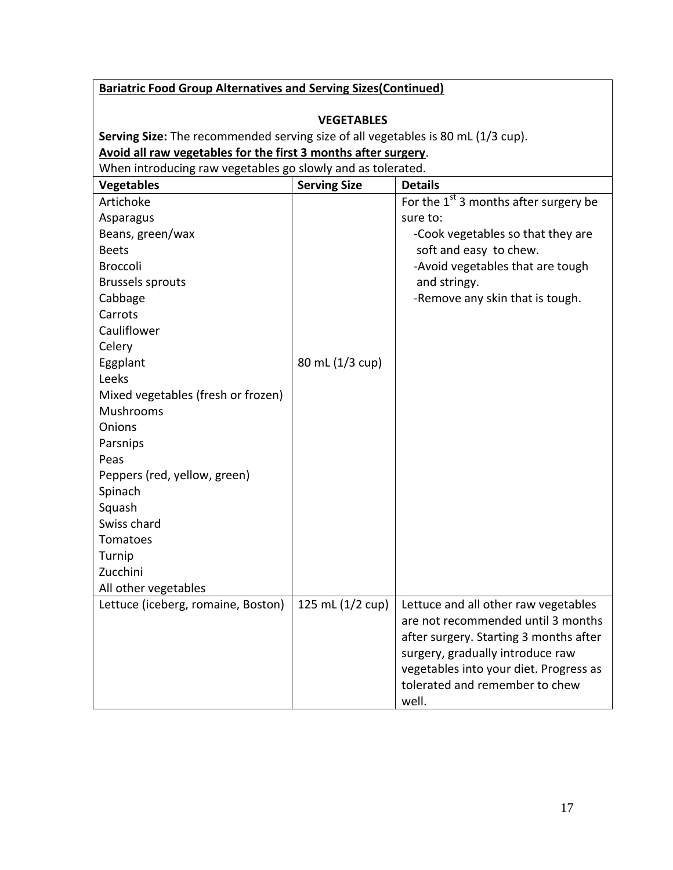| <b>Bariatric Food Group Alternatives and Serving Sizes (Continued)</b>                                                                             |                     |                                                                                                                                                                                                                                               |
|----------------------------------------------------------------------------------------------------------------------------------------------------|---------------------|-----------------------------------------------------------------------------------------------------------------------------------------------------------------------------------------------------------------------------------------------|
|                                                                                                                                                    |                     |                                                                                                                                                                                                                                               |
|                                                                                                                                                    | <b>VEGETABLES</b>   |                                                                                                                                                                                                                                               |
| Serving Size: The recommended serving size of all vegetables is 80 mL (1/3 cup).<br>Avoid all raw vegetables for the first 3 months after surgery. |                     |                                                                                                                                                                                                                                               |
| When introducing raw vegetables go slowly and as tolerated.                                                                                        |                     |                                                                                                                                                                                                                                               |
| <b>Vegetables</b>                                                                                                                                  | <b>Serving Size</b> | <b>Details</b>                                                                                                                                                                                                                                |
| Artichoke                                                                                                                                          |                     | For the $1st$ 3 months after surgery be                                                                                                                                                                                                       |
| Asparagus                                                                                                                                          |                     | sure to:                                                                                                                                                                                                                                      |
| Beans, green/wax                                                                                                                                   |                     | -Cook vegetables so that they are                                                                                                                                                                                                             |
| <b>Beets</b>                                                                                                                                       |                     | soft and easy to chew.                                                                                                                                                                                                                        |
| <b>Broccoli</b>                                                                                                                                    |                     | -Avoid vegetables that are tough                                                                                                                                                                                                              |
| <b>Brussels sprouts</b>                                                                                                                            |                     | and stringy.                                                                                                                                                                                                                                  |
| Cabbage                                                                                                                                            |                     | -Remove any skin that is tough.                                                                                                                                                                                                               |
| Carrots                                                                                                                                            |                     |                                                                                                                                                                                                                                               |
| Cauliflower                                                                                                                                        |                     |                                                                                                                                                                                                                                               |
| Celery                                                                                                                                             |                     |                                                                                                                                                                                                                                               |
| Eggplant                                                                                                                                           | 80 mL (1/3 cup)     |                                                                                                                                                                                                                                               |
| Leeks                                                                                                                                              |                     |                                                                                                                                                                                                                                               |
| Mixed vegetables (fresh or frozen)                                                                                                                 |                     |                                                                                                                                                                                                                                               |
| Mushrooms                                                                                                                                          |                     |                                                                                                                                                                                                                                               |
| Onions                                                                                                                                             |                     |                                                                                                                                                                                                                                               |
| Parsnips                                                                                                                                           |                     |                                                                                                                                                                                                                                               |
| Peas                                                                                                                                               |                     |                                                                                                                                                                                                                                               |
| Peppers (red, yellow, green)                                                                                                                       |                     |                                                                                                                                                                                                                                               |
| Spinach                                                                                                                                            |                     |                                                                                                                                                                                                                                               |
| Squash                                                                                                                                             |                     |                                                                                                                                                                                                                                               |
| Swiss chard                                                                                                                                        |                     |                                                                                                                                                                                                                                               |
| Tomatoes                                                                                                                                           |                     |                                                                                                                                                                                                                                               |
| Turnip                                                                                                                                             |                     |                                                                                                                                                                                                                                               |
| Zucchini                                                                                                                                           |                     |                                                                                                                                                                                                                                               |
| All other vegetables                                                                                                                               |                     |                                                                                                                                                                                                                                               |
| Lettuce (iceberg, romaine, Boston)                                                                                                                 | 125 mL (1/2 cup)    | Lettuce and all other raw vegetables<br>are not recommended until 3 months<br>after surgery. Starting 3 months after<br>surgery, gradually introduce raw<br>vegetables into your diet. Progress as<br>tolerated and remember to chew<br>well. |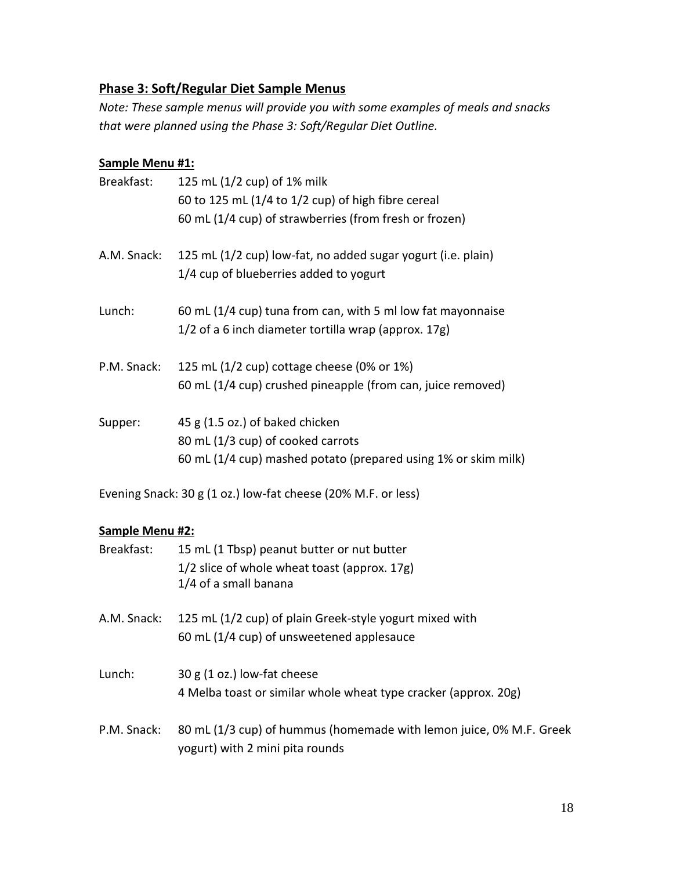## **Phase 3: Soft/Regular Diet Sample Menus**

*Note: These sample menus will provide you with some examples of meals and snacks that were planned using the Phase 3: Soft/Regular Diet Outline.* 

#### **Sample Menu #1:**

| Breakfast:  | 125 mL (1/2 cup) of 1% milk                                                                                         |
|-------------|---------------------------------------------------------------------------------------------------------------------|
|             | 60 to 125 mL $(1/4$ to $1/2$ cup) of high fibre cereal                                                              |
|             | 60 mL (1/4 cup) of strawberries (from fresh or frozen)                                                              |
| A.M. Snack: | 125 mL (1/2 cup) low-fat, no added sugar yogurt (i.e. plain)<br>1/4 cup of blueberries added to yogurt              |
| Lunch:      | 60 mL (1/4 cup) tuna from can, with 5 ml low fat mayonnaise<br>1/2 of a 6 inch diameter tortilla wrap (approx. 17g) |
| P.M. Snack: | 125 mL (1/2 cup) cottage cheese (0% or 1%)                                                                          |
|             | 60 mL (1/4 cup) crushed pineapple (from can, juice removed)                                                         |
| Supper:     | 45 g (1.5 oz.) of baked chicken                                                                                     |
|             | 80 mL (1/3 cup) of cooked carrots                                                                                   |
|             | 60 mL (1/4 cup) mashed potato (prepared using 1% or skim milk)                                                      |

Evening Snack: 30 g (1 oz.) low-fat cheese (20% M.F. or less)

#### **Sample Menu #2:**

| Breakfast:  | 15 mL (1 Tbsp) peanut butter or nut butter<br>1/2 slice of whole wheat toast (approx. 17g)<br>1/4 of a small banana |
|-------------|---------------------------------------------------------------------------------------------------------------------|
| A.M. Snack: | 125 mL (1/2 cup) of plain Greek-style yogurt mixed with<br>60 mL (1/4 cup) of unsweetened applesauce                |
| Lunch:      | 30 g (1 oz.) low-fat cheese<br>4 Melba toast or similar whole wheat type cracker (approx. 20g)                      |
| P.M. Snack: | 80 mL (1/3 cup) of hummus (homemade with lemon juice, 0% M.F. Greek<br>yogurt) with 2 mini pita rounds              |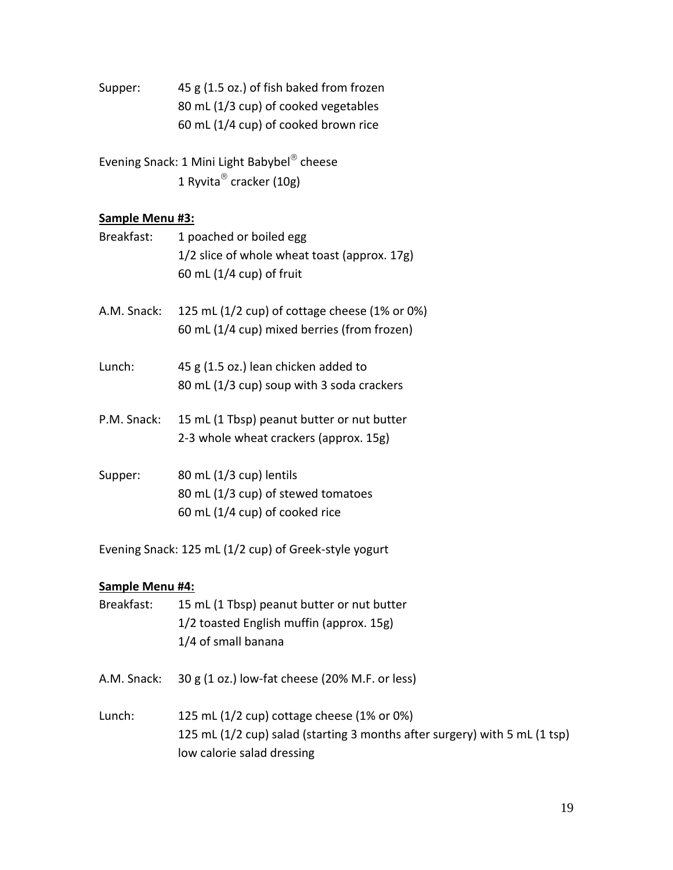Supper: 45 g (1.5 oz.) of fish baked from frozen 80 mL (1/3 cup) of cooked vegetables 60 mL (1/4 cup) of cooked brown rice

Evening Snack: 1 Mini Light Babybel<sup>®</sup> cheese 1 Ryvita® cracker (10g)

#### **Sample Menu #3:**

| Breakfast:  | 1 poached or boiled egg<br>1/2 slice of whole wheat toast (approx. 17g)<br>60 mL $(1/4 \text{ cup})$ of fruit |
|-------------|---------------------------------------------------------------------------------------------------------------|
| A.M. Snack: | 125 mL $(1/2$ cup) of cottage cheese $(1\%$ or 0%)<br>60 mL (1/4 cup) mixed berries (from frozen)             |
| Lunch:      | 45 g (1.5 oz.) lean chicken added to<br>80 mL (1/3 cup) soup with 3 soda crackers                             |
| P.M. Snack: | 15 mL (1 Tbsp) peanut butter or nut butter<br>2-3 whole wheat crackers (approx. 15g)                          |
| Supper:     | 80 mL $(1/3$ cup) lentils<br>80 mL (1/3 cup) of stewed tomatoes<br>60 mL (1/4 cup) of cooked rice             |

Evening Snack: 125 mL (1/2 cup) of Greek-style yogurt

#### **Sample Menu #4:**

- Breakfast: 15 mL (1 Tbsp) peanut butter or nut butter 1/2 toasted English muffin (approx. 15g) 1/4 of small banana
- A.M. Snack: 30 g (1 oz.) low-fat cheese (20% M.F. or less)
- Lunch: 125 mL (1/2 cup) cottage cheese (1% or 0%) 125 mL (1/2 cup) salad (starting 3 months after surgery) with 5 mL (1 tsp) low calorie salad dressing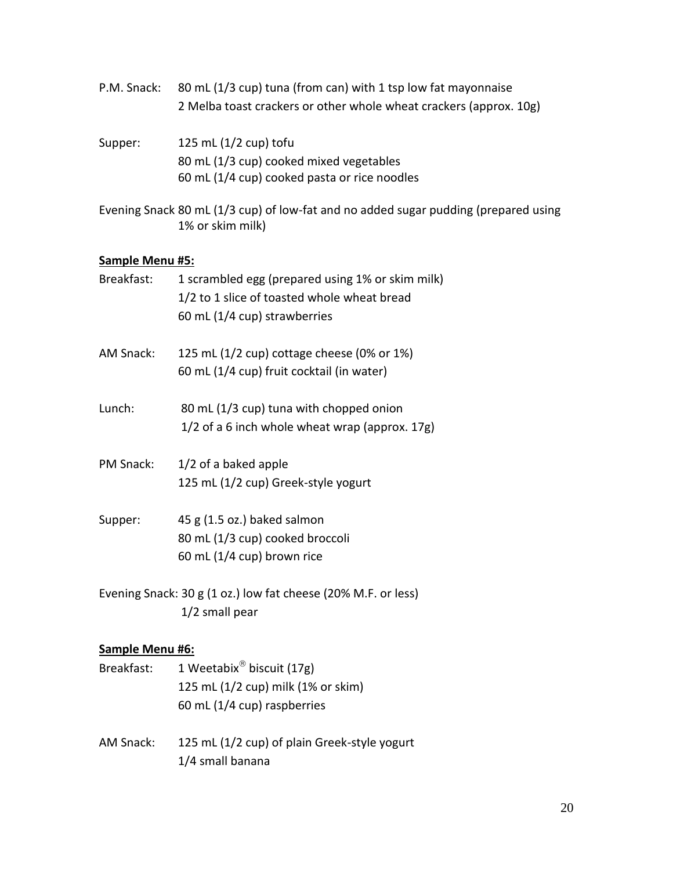- P.M. Snack: 80 mL (1/3 cup) tuna (from can) with 1 tsp low fat mayonnaise 2 Melba toast crackers or other whole wheat crackers (approx. 10g) Supper: 125 mL (1/2 cup) tofu 80 mL (1/3 cup) cooked mixed vegetables 60 mL (1/4 cup) cooked pasta or rice noodles
- Evening Snack 80 mL (1/3 cup) of low-fat and no added sugar pudding (prepared using 1% or skim milk)

#### **Sample Menu #5:**

| Breakfast:             | 1 scrambled egg (prepared using 1% or skim milk)<br>1/2 to 1 slice of toasted whole wheat bread<br>60 mL (1/4 cup) strawberries |
|------------------------|---------------------------------------------------------------------------------------------------------------------------------|
| AM Snack:              | 125 mL (1/2 cup) cottage cheese (0% or 1%)<br>60 mL (1/4 cup) fruit cocktail (in water)                                         |
| Lunch:                 | 80 mL (1/3 cup) tuna with chopped onion<br>1/2 of a 6 inch whole wheat wrap (approx. 17g)                                       |
| <b>PM Snack:</b>       | 1/2 of a baked apple<br>125 mL (1/2 cup) Greek-style yogurt                                                                     |
| Supper:                | 45 g (1.5 oz.) baked salmon<br>80 mL (1/3 cup) cooked broccoli<br>60 mL $(1/4$ cup) brown rice                                  |
|                        | Evening Snack: 30 g (1 oz.) low fat cheese (20% M.F. or less)<br>1/2 small pear                                                 |
| <b>Sample Menu #6:</b> |                                                                                                                                 |
|                        | Breakfast: 1 Weetabix <sup>®</sup> biscuit (17g)                                                                                |

- 125 mL (1/2 cup) milk (1% or skim) 60 mL (1/4 cup) raspberries
- AM Snack: 125 mL (1/2 cup) of plain Greek-style yogurt 1/4 small banana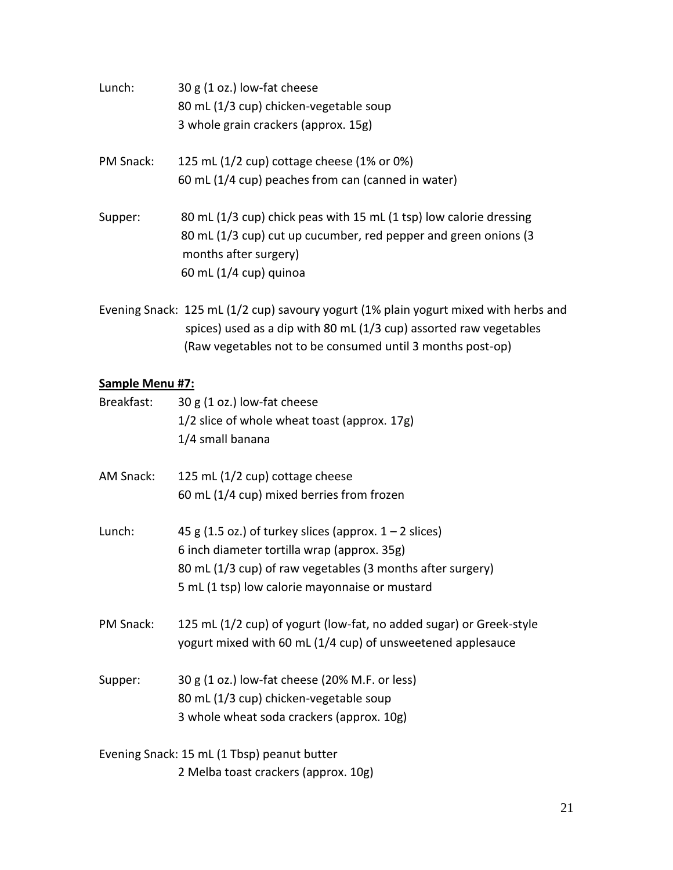| Lunch:    | 30 g (1 oz.) low-fat cheese<br>80 mL (1/3 cup) chicken-vegetable soup<br>3 whole grain crackers (approx. 15g)                                                                              |
|-----------|--------------------------------------------------------------------------------------------------------------------------------------------------------------------------------------------|
| PM Snack: | 125 mL $(1/2$ cup) cottage cheese $(1%$ or 0%)<br>60 mL (1/4 cup) peaches from can (canned in water)                                                                                       |
| Supper:   | 80 mL (1/3 cup) chick peas with 15 mL (1 tsp) low calorie dressing<br>80 mL (1/3 cup) cut up cucumber, red pepper and green onions (3<br>months after surgery)<br>60 mL $(1/4$ cup) quinoa |

Evening Snack: 125 mL (1/2 cup) savoury yogurt (1% plain yogurt mixed with herbs and spices) used as a dip with 80 mL (1/3 cup) assorted raw vegetables (Raw vegetables not to be consumed until 3 months post-op)

## **Sample Menu #7:**

| Breakfast: | 30 g (1 oz.) low-fat cheese<br>1/2 slice of whole wheat toast (approx. 17g)<br>1/4 small banana                                                                                                                         |
|------------|-------------------------------------------------------------------------------------------------------------------------------------------------------------------------------------------------------------------------|
| AM Snack:  | 125 mL (1/2 cup) cottage cheese<br>60 mL (1/4 cup) mixed berries from frozen                                                                                                                                            |
| Lunch:     | 45 g (1.5 oz.) of turkey slices (approx. $1 - 2$ slices)<br>6 inch diameter tortilla wrap (approx. 35g)<br>80 mL (1/3 cup) of raw vegetables (3 months after surgery)<br>5 mL (1 tsp) low calorie mayonnaise or mustard |
| PM Snack:  | 125 mL (1/2 cup) of yogurt (low-fat, no added sugar) or Greek-style<br>yogurt mixed with 60 mL (1/4 cup) of unsweetened applesauce                                                                                      |
| Supper:    | 30 g (1 oz.) low-fat cheese (20% M.F. or less)<br>80 mL (1/3 cup) chicken-vegetable soup<br>3 whole wheat soda crackers (approx. 10g)                                                                                   |
|            | Evening Snack: 15 mL (1 Tbsp) peanut butter                                                                                                                                                                             |

2 Melba toast crackers (approx. 10g)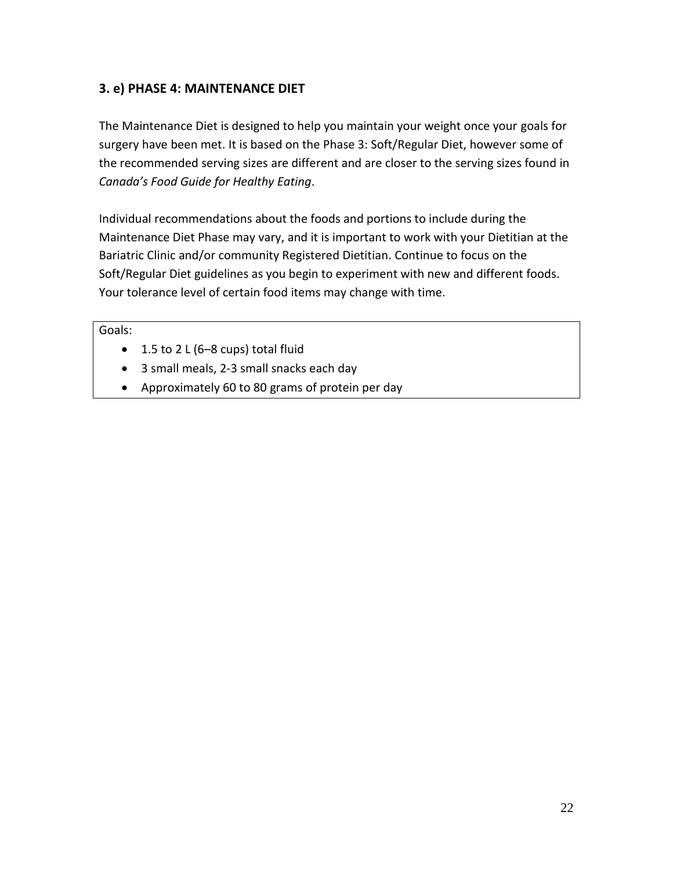## **3. e) PHASE 4: MAINTENANCE DIET**

The Maintenance Diet is designed to help you maintain your weight once your goals for surgery have been met. It is based on the Phase 3: Soft/Regular Diet, however some of the recommended serving sizes are different and are closer to the serving sizes found in *Canada's Food Guide for Healthy Eating*.

Individual recommendations about the foods and portions to include during the Maintenance Diet Phase may vary, and it is important to work with your Dietitian at the Bariatric Clinic and/or community Registered Dietitian. Continue to focus on the Soft/Regular Diet guidelines as you begin to experiment with new and different foods. Your tolerance level of certain food items may change with time.

#### Goals:

- $\bullet$  1.5 to 2 L (6–8 cups) total fluid
- 3 small meals, 2-3 small snacks each day
- Approximately 60 to 80 grams of protein per day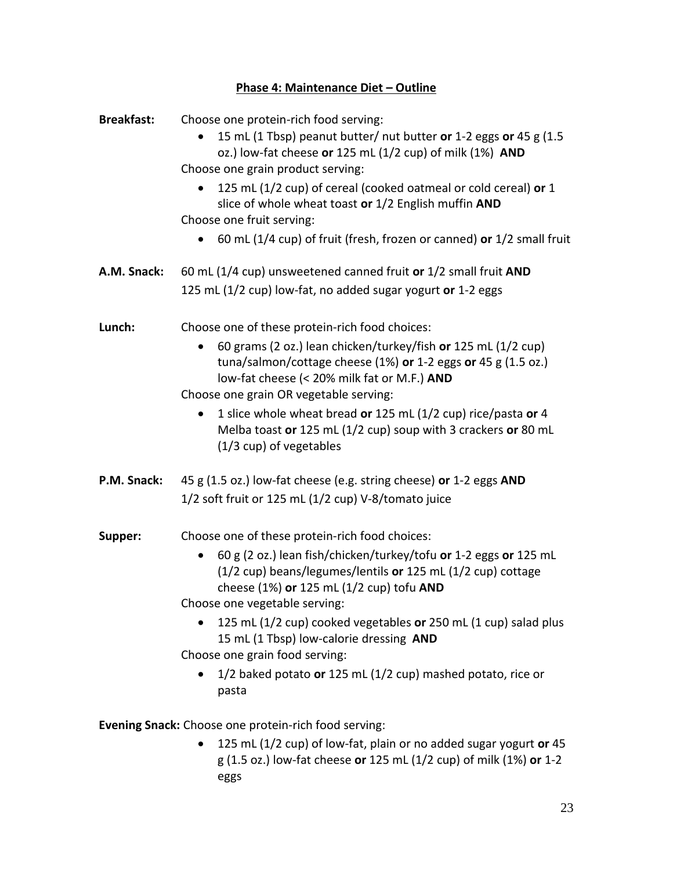## **Phase 4: Maintenance Diet - Outline**

| <b>Breakfast:</b> | Choose one protein-rich food serving:<br>15 mL (1 Tbsp) peanut butter/ nut butter or 1-2 eggs or 45 g (1.5<br>oz.) low-fat cheese or 125 mL (1/2 cup) of milk (1%) AND<br>Choose one grain product serving:<br>125 mL (1/2 cup) of cereal (cooked oatmeal or cold cereal) or 1<br>slice of whole wheat toast or 1/2 English muffin AND<br>Choose one fruit serving:<br>60 mL (1/4 cup) of fruit (fresh, frozen or canned) or 1/2 small fruit                                           |
|-------------------|----------------------------------------------------------------------------------------------------------------------------------------------------------------------------------------------------------------------------------------------------------------------------------------------------------------------------------------------------------------------------------------------------------------------------------------------------------------------------------------|
| A.M. Snack:       | 60 mL (1/4 cup) unsweetened canned fruit or 1/2 small fruit AND<br>125 mL (1/2 cup) low-fat, no added sugar yogurt or 1-2 eggs                                                                                                                                                                                                                                                                                                                                                         |
| Lunch:            | Choose one of these protein-rich food choices:<br>60 grams (2 oz.) lean chicken/turkey/fish or 125 mL (1/2 cup)<br>tuna/salmon/cottage cheese (1%) or 1-2 eggs or 45 g (1.5 oz.)<br>low-fat cheese (< 20% milk fat or M.F.) AND<br>Choose one grain OR vegetable serving:<br>1 slice whole wheat bread or 125 mL (1/2 cup) rice/pasta or 4<br>۰<br>Melba toast or 125 mL (1/2 cup) soup with 3 crackers or 80 mL<br>(1/3 cup) of vegetables                                            |
| P.M. Snack:       | 45 g (1.5 oz.) low-fat cheese (e.g. string cheese) or 1-2 eggs AND<br>1/2 soft fruit or 125 mL (1/2 cup) V-8/tomato juice                                                                                                                                                                                                                                                                                                                                                              |
| Supper:           | Choose one of these protein-rich food choices:<br>60 g (2 oz.) lean fish/chicken/turkey/tofu or 1-2 eggs or 125 mL<br>(1/2 cup) beans/legumes/lentils or 125 mL (1/2 cup) cottage<br>cheese (1%) or 125 mL (1/2 cup) tofu AND<br>Choose one vegetable serving:<br>125 mL (1/2 cup) cooked vegetables or 250 mL (1 cup) salad plus<br>15 mL (1 Tbsp) low-calorie dressing AND<br>Choose one grain food serving:<br>1/2 baked potato or 125 mL (1/2 cup) mashed potato, rice or<br>pasta |

**Evening Snack:** Choose one protein-rich food serving:

 125 mL (1/2 cup) of low-fat, plain or no added sugar yogurt **or** 45 g (1.5 oz.) low-fat cheese **or** 125 mL (1/2 cup) of milk (1%) **or** 1-2 eggs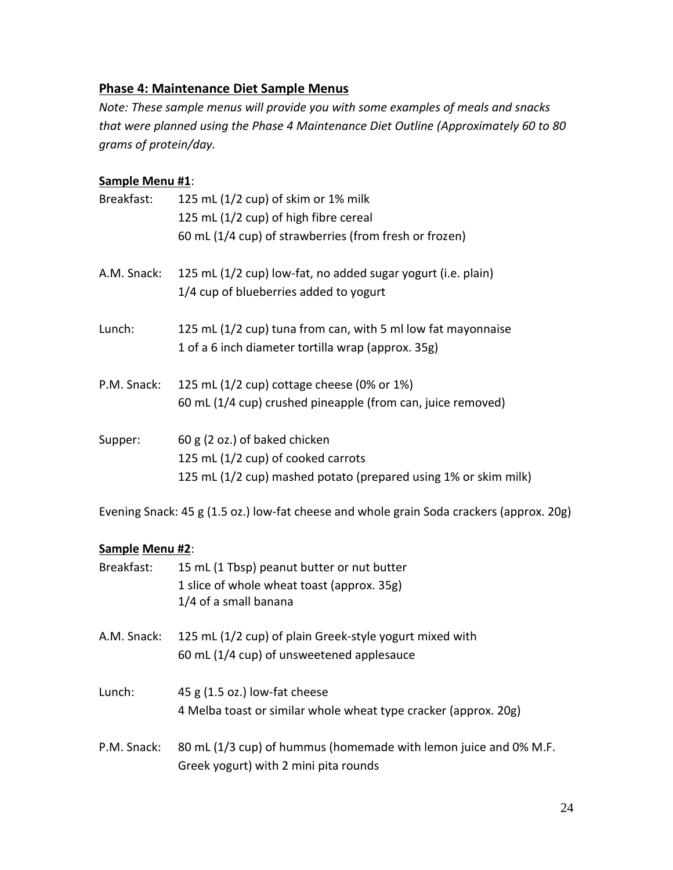## **Phase 4: Maintenance Diet Sample Menus**

*Note: These sample menus will provide you with some examples of meals and snacks that were planned using the Phase 4 Maintenance Diet Outline (Approximately 60 to 80 grams of protein/day.* 

## **Sample Menu #1**:

| Breakfast:  | 125 mL (1/2 cup) of skim or 1% milk                             |
|-------------|-----------------------------------------------------------------|
|             | 125 mL (1/2 cup) of high fibre cereal                           |
|             | 60 mL (1/4 cup) of strawberries (from fresh or frozen)          |
| A.M. Snack: | 125 mL (1/2 cup) low-fat, no added sugar yogurt (i.e. plain)    |
|             | 1/4 cup of blueberries added to yogurt                          |
| Lunch:      | 125 mL (1/2 cup) tuna from can, with 5 ml low fat mayonnaise    |
|             | 1 of a 6 inch diameter tortilla wrap (approx. 35g)              |
| P.M. Snack: | 125 mL (1/2 cup) cottage cheese (0% or 1%)                      |
|             | 60 mL (1/4 cup) crushed pineapple (from can, juice removed)     |
| Supper:     | 60 g (2 oz.) of baked chicken                                   |
|             | 125 mL (1/2 cup) of cooked carrots                              |
|             | 125 mL (1/2 cup) mashed potato (prepared using 1% or skim milk) |

Evening Snack: 45 g (1.5 oz.) low-fat cheese and whole grain Soda crackers (approx. 20g)

#### **Sample Menu #2**:

| Breakfast:  | 15 mL (1 Tbsp) peanut butter or nut butter<br>1 slice of whole wheat toast (approx. 35g)<br>1/4 of a small banana |
|-------------|-------------------------------------------------------------------------------------------------------------------|
| A.M. Snack: | 125 mL (1/2 cup) of plain Greek-style yogurt mixed with<br>60 mL (1/4 cup) of unsweetened applesauce              |
| Lunch:      | 45 g (1.5 oz.) low-fat cheese<br>4 Melba toast or similar whole wheat type cracker (approx. 20g)                  |
| P.M. Snack: | 80 mL (1/3 cup) of hummus (homemade with lemon juice and 0% M.F.<br>Greek yogurt) with 2 mini pita rounds         |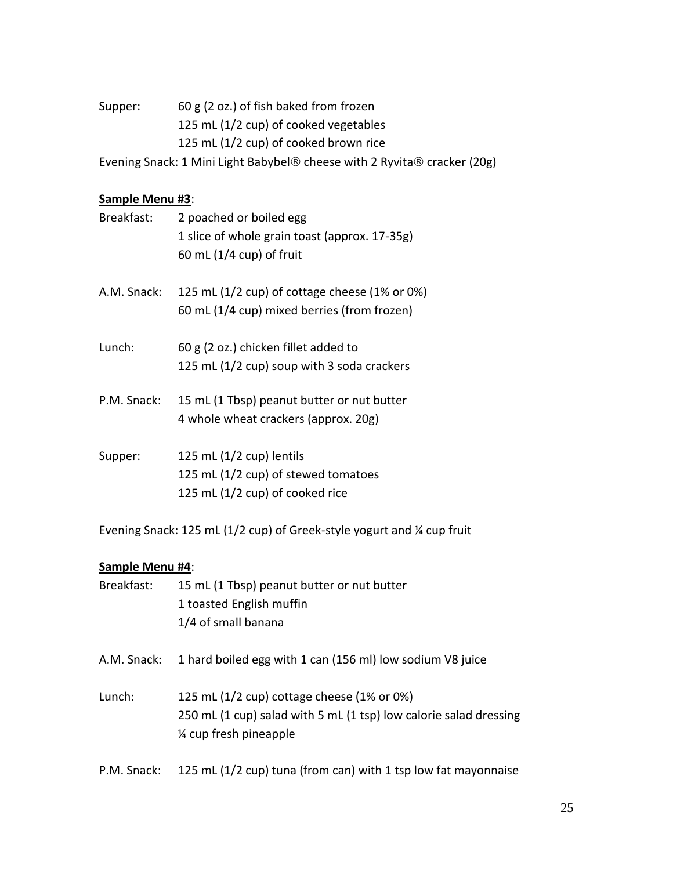Supper: 60 g (2 oz.) of fish baked from frozen 125 mL (1/2 cup) of cooked vegetables 125 mL (1/2 cup) of cooked brown rice

Evening Snack: 1 Mini Light Babybel® cheese with 2 Ryvita® cracker (20g)

## **Sample Menu #3**:

| Breakfast:  | 2 poached or boiled egg<br>1 slice of whole grain toast (approx. 17-35g)<br>60 mL $(1/4 \text{ cup})$ of fruit |
|-------------|----------------------------------------------------------------------------------------------------------------|
| A.M. Snack: | 125 mL $(1/2$ cup) of cottage cheese $(1\%$ or 0%)<br>60 mL (1/4 cup) mixed berries (from frozen)              |
| Lunch:      | 60 g (2 oz.) chicken fillet added to<br>125 mL (1/2 cup) soup with 3 soda crackers                             |
| P.M. Snack: | 15 mL (1 Tbsp) peanut butter or nut butter<br>4 whole wheat crackers (approx. 20g)                             |
| Supper:     | 125 mL $(1/2$ cup) lentils<br>125 mL (1/2 cup) of stewed tomatoes<br>125 mL (1/2 cup) of cooked rice           |

Evening Snack: 125 mL (1/2 cup) of Greek-style yogurt and ¼ cup fruit

#### **Sample Menu #4**:

| Breakfast:  | 15 mL (1 Tbsp) peanut butter or nut butter<br>1 toasted English muffin<br>1/4 of small banana                                            |
|-------------|------------------------------------------------------------------------------------------------------------------------------------------|
| A.M. Snack: | 1 hard boiled egg with 1 can (156 ml) low sodium V8 juice                                                                                |
| Lunch:      | 125 mL (1/2 cup) cottage cheese (1% or 0%)<br>250 mL (1 cup) salad with 5 mL (1 tsp) low calorie salad dressing<br>% cup fresh pineapple |

P.M. Snack: 125 mL (1/2 cup) tuna (from can) with 1 tsp low fat mayonnaise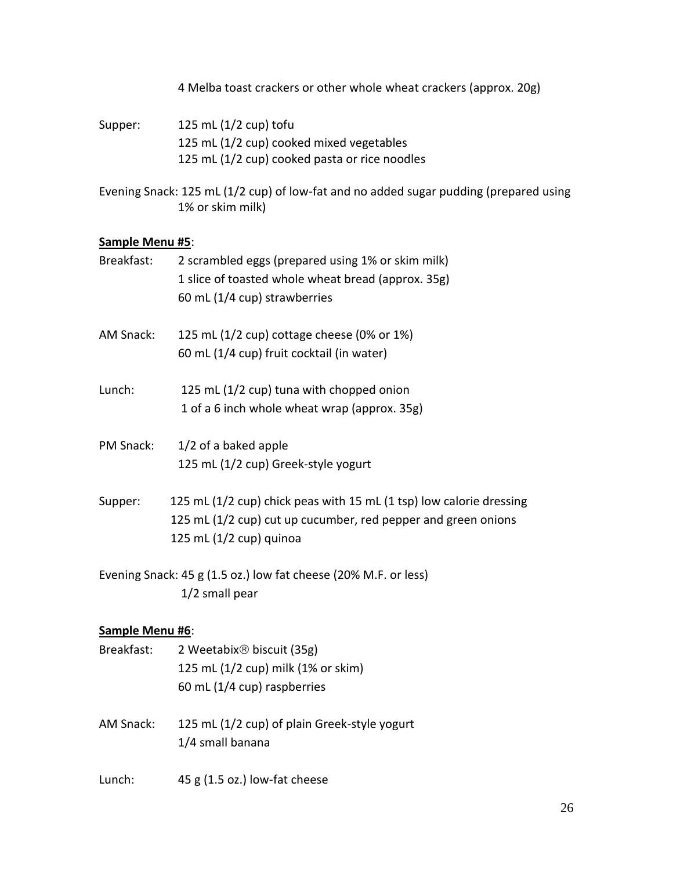4 Melba toast crackers or other whole wheat crackers (approx. 20g)

Supper: 125 mL (1/2 cup) tofu 125 mL (1/2 cup) cooked mixed vegetables 125 mL (1/2 cup) cooked pasta or rice noodles

Evening Snack: 125 mL (1/2 cup) of low-fat and no added sugar pudding (prepared using 1% or skim milk)

#### **Sample Menu #5**:

| Breakfast:      | 2 scrambled eggs (prepared using 1% or skim milk)<br>1 slice of toasted whole wheat bread (approx. 35g)<br>60 mL (1/4 cup) strawberries                         |
|-----------------|-----------------------------------------------------------------------------------------------------------------------------------------------------------------|
| AM Snack:       | 125 mL (1/2 cup) cottage cheese (0% or 1%)<br>60 mL (1/4 cup) fruit cocktail (in water)                                                                         |
| Lunch:          | 125 mL (1/2 cup) tuna with chopped onion<br>1 of a 6 inch whole wheat wrap (approx. 35g)                                                                        |
| PM Snack:       | 1/2 of a baked apple<br>125 mL (1/2 cup) Greek-style yogurt                                                                                                     |
| Supper:         | 125 mL (1/2 cup) chick peas with 15 mL (1 tsp) low calorie dressing<br>125 mL (1/2 cup) cut up cucumber, red pepper and green onions<br>125 mL (1/2 cup) quinoa |
|                 | Evening Snack: 45 g (1.5 oz.) low fat cheese (20% M.F. or less)<br>1/2 small pear                                                                               |
| Sample Menu #6: |                                                                                                                                                                 |

## Breakfast: 2 Weetabix<sup>®</sup> biscuit (35g) 125 mL (1/2 cup) milk (1% or skim) 60 mL (1/4 cup) raspberries AM Snack: 125 mL (1/2 cup) of plain Greek-style yogurt 1/4 small banana Lunch: 45 g (1.5 oz.) low-fat cheese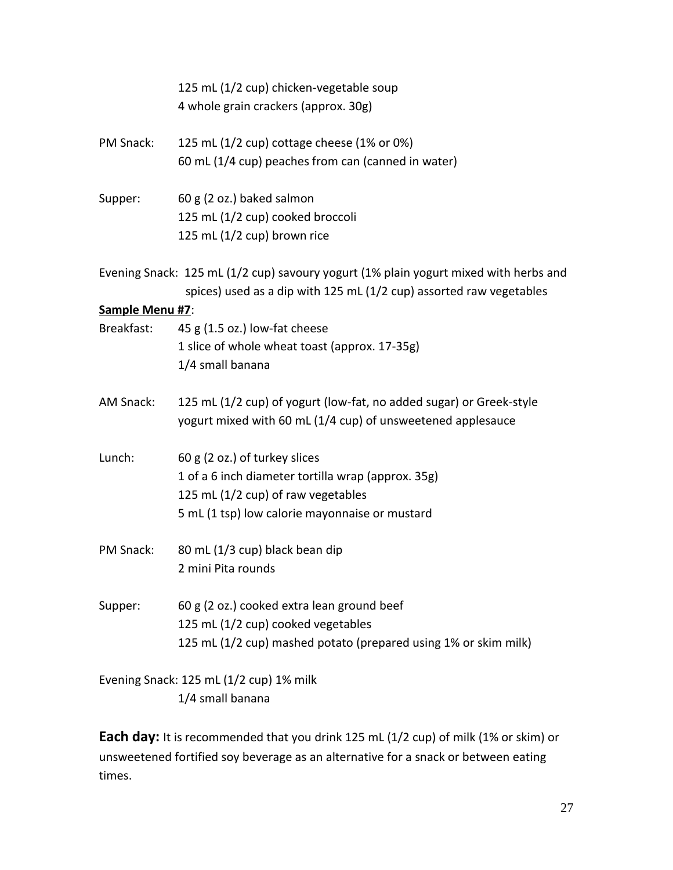|                 | 125 mL (1/2 cup) chicken-vegetable soup                                                                                                                     |
|-----------------|-------------------------------------------------------------------------------------------------------------------------------------------------------------|
|                 | 4 whole grain crackers (approx. 30g)                                                                                                                        |
| PM Snack:       | 125 mL (1/2 cup) cottage cheese (1% or 0%)                                                                                                                  |
|                 | 60 mL (1/4 cup) peaches from can (canned in water)                                                                                                          |
| Supper:         | 60 g (2 oz.) baked salmon                                                                                                                                   |
|                 | 125 mL (1/2 cup) cooked broccoli                                                                                                                            |
|                 | 125 mL (1/2 cup) brown rice                                                                                                                                 |
|                 | Evening Snack: 125 mL (1/2 cup) savoury yogurt (1% plain yogurt mixed with herbs and<br>spices) used as a dip with 125 mL (1/2 cup) assorted raw vegetables |
| Sample Menu #7: |                                                                                                                                                             |
| Breakfast:      | 45 g (1.5 oz.) low-fat cheese                                                                                                                               |
|                 | 1 slice of whole wheat toast (approx. 17-35g)                                                                                                               |
|                 | 1/4 small banana                                                                                                                                            |
| AM Snack:       | 125 mL (1/2 cup) of yogurt (low-fat, no added sugar) or Greek-style                                                                                         |
|                 | yogurt mixed with 60 mL (1/4 cup) of unsweetened applesauce                                                                                                 |
| Lunch:          | 60 g (2 oz.) of turkey slices                                                                                                                               |
|                 | 1 of a 6 inch diameter tortilla wrap (approx. 35g)                                                                                                          |
|                 | 125 mL (1/2 cup) of raw vegetables                                                                                                                          |
|                 | 5 mL (1 tsp) low calorie mayonnaise or mustard                                                                                                              |
| PM Snack:       | 80 mL (1/3 cup) black bean dip                                                                                                                              |
|                 | 2 mini Pita rounds                                                                                                                                          |
| Supper:         | 60 g (2 oz.) cooked extra lean ground beef                                                                                                                  |
|                 | 125 mL (1/2 cup) cooked vegetables                                                                                                                          |
|                 | 125 mL (1/2 cup) mashed potato (prepared using 1% or skim milk)                                                                                             |
|                 | Evening Snack: 125 mL (1/2 cup) 1% milk                                                                                                                     |
|                 | 1/4 small banana                                                                                                                                            |

**Each day:** It is recommended that you drink 125 mL (1/2 cup) of milk (1% or skim) or unsweetened fortified soy beverage as an alternative for a snack or between eating times.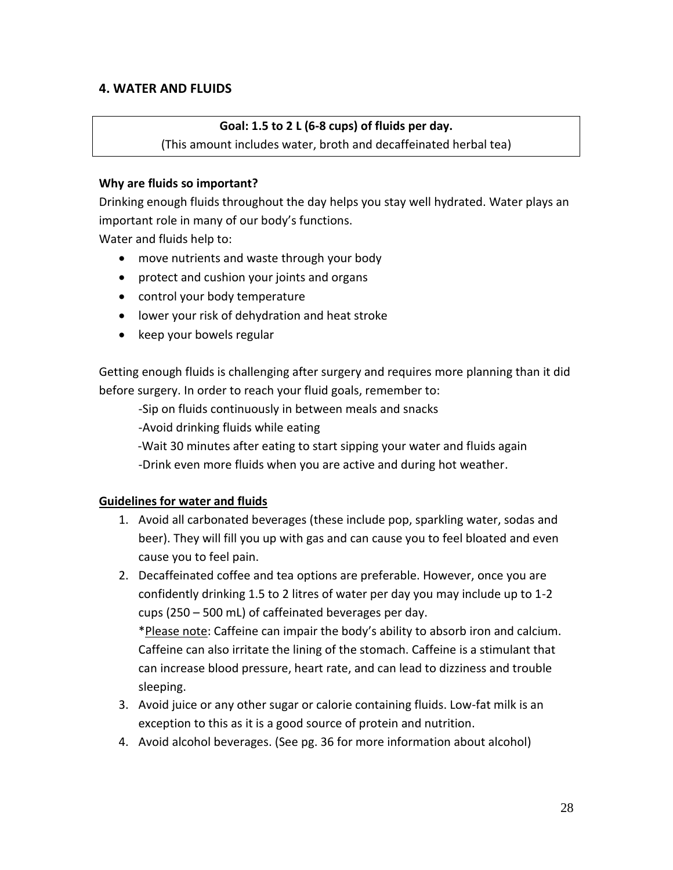#### **4. WATER AND FLUIDS**

#### **Goal: 1.5 to 2 L (6-8 cups) of fluids per day.**

(This amount includes water, broth and decaffeinated herbal tea)

#### **Why are fluids so important?**

Drinking enough fluids throughout the day helps you stay well hydrated. Water plays an important role in many of our body's functions.

Water and fluids help to:

- move nutrients and waste through your body
- protect and cushion your joints and organs
- control your body temperature
- lower your risk of dehydration and heat stroke
- keep your bowels regular

Getting enough fluids is challenging after surgery and requires more planning than it did before surgery. In order to reach your fluid goals, remember to:

-Sip on fluids continuously in between meals and snacks

-Avoid drinking fluids while eating

-Wait 30 minutes after eating to start sipping your water and fluids again

-Drink even more fluids when you are active and during hot weather.

#### **Guidelines for water and fluids**

- 1. Avoid all carbonated beverages (these include pop, sparkling water, sodas and beer). They will fill you up with gas and can cause you to feel bloated and even cause you to feel pain.
- 2. Decaffeinated coffee and tea options are preferable. However, once you are confidently drinking 1.5 to 2 litres of water per day you may include up to 1-2 cups (250 – 500 mL) of caffeinated beverages per day. \*Please note: Caffeine can impair the body's ability to absorb iron and calcium. Caffeine can also irritate the lining of the stomach. Caffeine is a stimulant that

can increase blood pressure, heart rate, and can lead to dizziness and trouble sleeping.

- 3. Avoid juice or any other sugar or calorie containing fluids. Low-fat milk is an exception to this as it is a good source of protein and nutrition.
- 4. Avoid alcohol beverages. (See pg. 36 for more information about alcohol)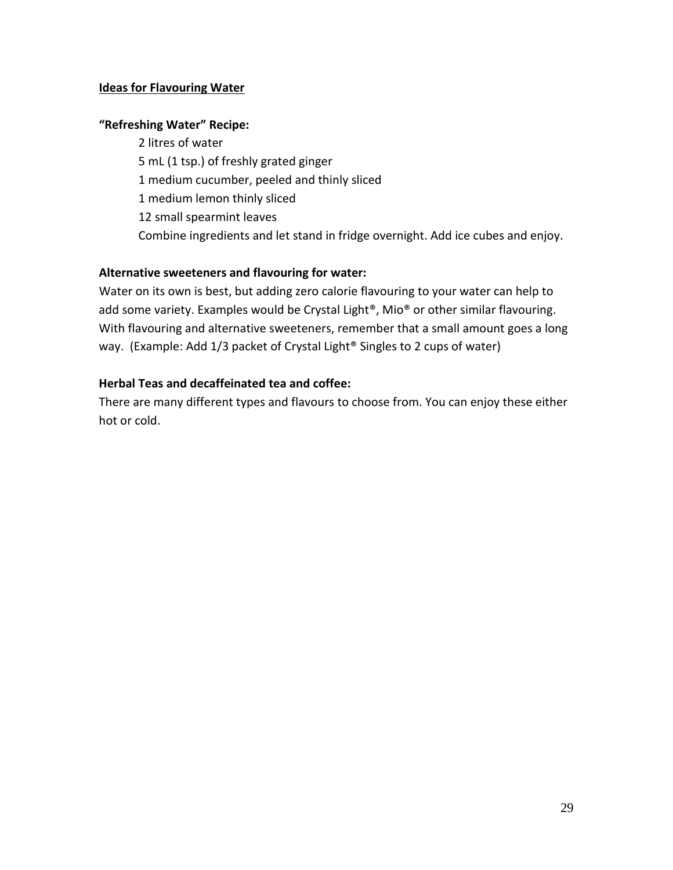#### **Ideas for Flavouring Water**

#### **"Refreshing Water" Recipe:**

2 litres of water 5 mL (1 tsp.) of freshly grated ginger 1 medium cucumber, peeled and thinly sliced 1 medium lemon thinly sliced 12 small spearmint leaves Combine ingredients and let stand in fridge overnight. Add ice cubes and enjoy.

## **Alternative sweeteners and flavouring for water:**

Water on its own is best, but adding zero calorie flavouring to your water can help to add some variety. Examples would be Crystal Light®, Mio® or other similar flavouring. With flavouring and alternative sweeteners, remember that a small amount goes a long way. (Example: Add 1/3 packet of Crystal Light® Singles to 2 cups of water)

#### **Herbal Teas and decaffeinated tea and coffee:**

There are many different types and flavours to choose from. You can enjoy these either hot or cold.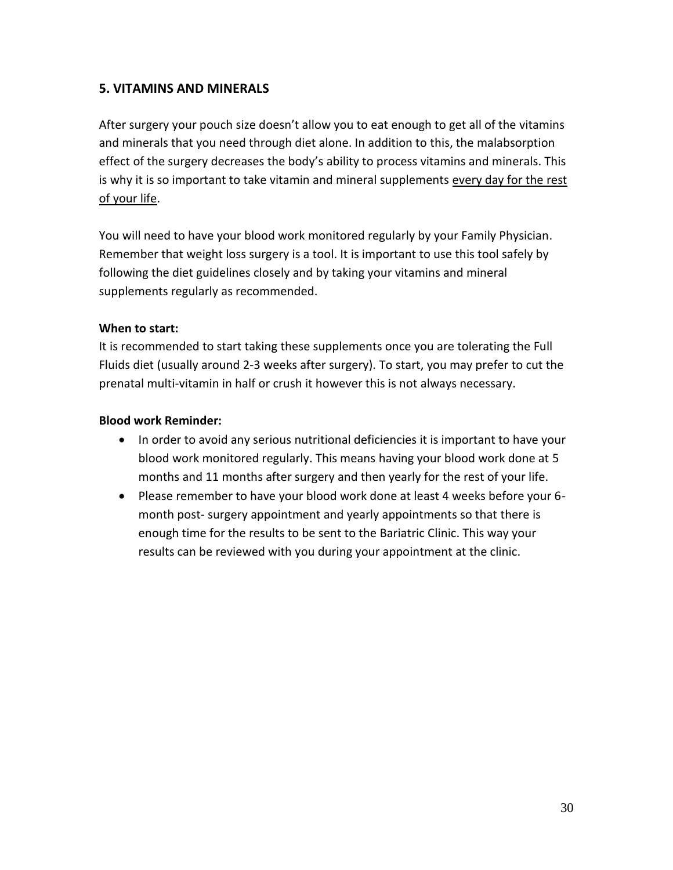## **5. VITAMINS AND MINERALS**

After surgery your pouch size doesn't allow you to eat enough to get all of the vitamins and minerals that you need through diet alone. In addition to this, the malabsorption effect of the surgery decreases the body's ability to process vitamins and minerals. This is why it is so important to take vitamin and mineral supplements every day for the rest of your life.

You will need to have your blood work monitored regularly by your Family Physician. Remember that weight loss surgery is a tool. It is important to use this tool safely by following the diet guidelines closely and by taking your vitamins and mineral supplements regularly as recommended.

#### **When to start:**

It is recommended to start taking these supplements once you are tolerating the Full Fluids diet (usually around 2-3 weeks after surgery). To start, you may prefer to cut the prenatal multi-vitamin in half or crush it however this is not always necessary.

#### **Blood work Reminder:**

- In order to avoid any serious nutritional deficiencies it is important to have your blood work monitored regularly. This means having your blood work done at 5 months and 11 months after surgery and then yearly for the rest of your life.
- Please remember to have your blood work done at least 4 weeks before your 6 month post- surgery appointment and yearly appointments so that there is enough time for the results to be sent to the Bariatric Clinic. This way your results can be reviewed with you during your appointment at the clinic.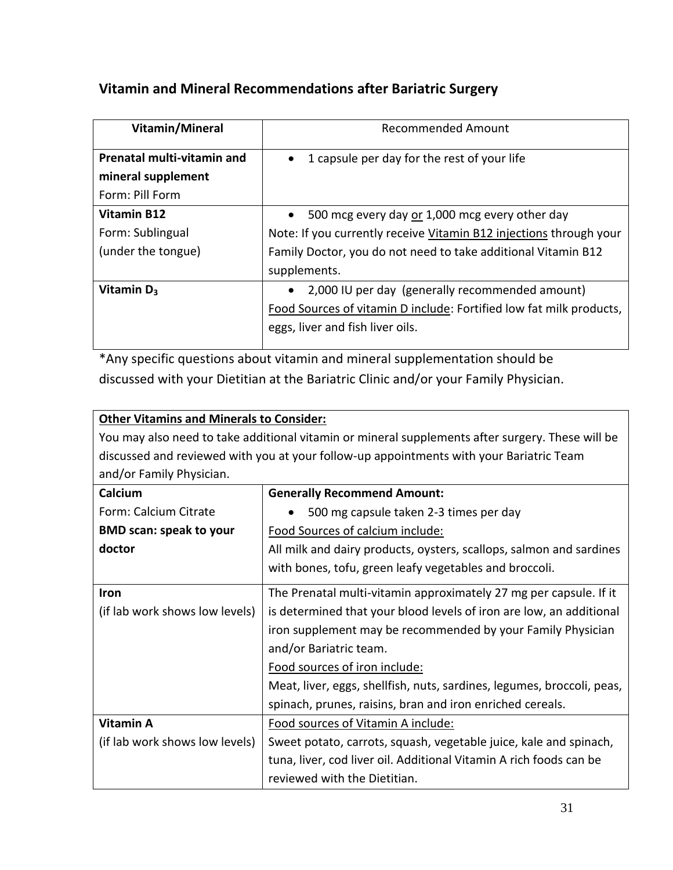## **Vitamin and Mineral Recommendations after Bariatric Surgery**

| Vitamin/Mineral                   | Recommended Amount                                                  |  |
|-----------------------------------|---------------------------------------------------------------------|--|
| <b>Prenatal multi-vitamin and</b> | 1 capsule per day for the rest of your life<br>$\bullet$            |  |
| mineral supplement                |                                                                     |  |
| Form: Pill Form                   |                                                                     |  |
| Vitamin B12                       | 500 mcg every day or 1,000 mcg every other day<br>$\bullet$         |  |
| Form: Sublingual                  | Note: If you currently receive Vitamin B12 injections through your  |  |
| (under the tongue)                | Family Doctor, you do not need to take additional Vitamin B12       |  |
|                                   | supplements.                                                        |  |
| Vitamin $D_3$                     | 2,000 IU per day (generally recommended amount)                     |  |
|                                   | Food Sources of vitamin D include: Fortified low fat milk products, |  |
|                                   | eggs, liver and fish liver oils.                                    |  |
|                                   |                                                                     |  |

\*Any specific questions about vitamin and mineral supplementation should be discussed with your Dietitian at the Bariatric Clinic and/or your Family Physician.

## **Other Vitamins and Minerals to Consider:**

You may also need to take additional vitamin or mineral supplements after surgery. These will be discussed and reviewed with you at your follow-up appointments with your Bariatric Team and/or Family Physician.

| Calcium                        | <b>Generally Recommend Amount:</b>                                     |
|--------------------------------|------------------------------------------------------------------------|
| Form: Calcium Citrate          | 500 mg capsule taken 2-3 times per day                                 |
| <b>BMD scan: speak to your</b> | Food Sources of calcium include:                                       |
| doctor                         | All milk and dairy products, oysters, scallops, salmon and sardines    |
|                                | with bones, tofu, green leafy vegetables and broccoli.                 |
| <b>Iron</b>                    | The Prenatal multi-vitamin approximately 27 mg per capsule. If it      |
| (if lab work shows low levels) | is determined that your blood levels of iron are low, an additional    |
|                                | iron supplement may be recommended by your Family Physician            |
|                                | and/or Bariatric team.                                                 |
|                                | Food sources of iron include:                                          |
|                                | Meat, liver, eggs, shellfish, nuts, sardines, legumes, broccoli, peas, |
|                                | spinach, prunes, raisins, bran and iron enriched cereals.              |
| <b>Vitamin A</b>               | Food sources of Vitamin A include:                                     |
| (if lab work shows low levels) | Sweet potato, carrots, squash, vegetable juice, kale and spinach,      |
|                                | tuna, liver, cod liver oil. Additional Vitamin A rich foods can be     |
|                                | reviewed with the Dietitian.                                           |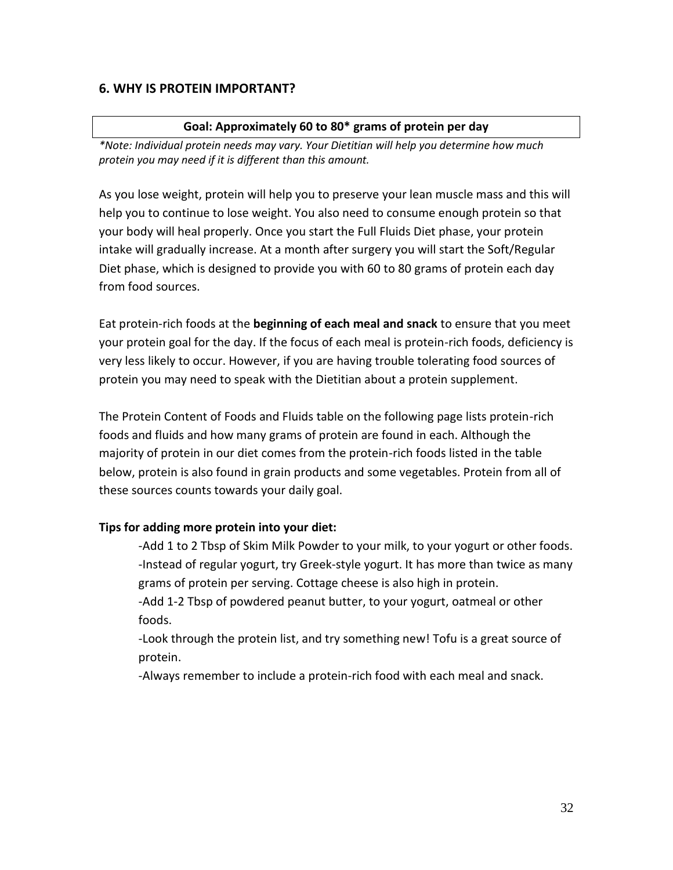#### **6. WHY IS PROTEIN IMPORTANT?**

#### **Goal: Approximately 60 to 80\* grams of protein per day**

*\*Note: Individual protein needs may vary. Your Dietitian will help you determine how much protein you may need if it is different than this amount.* 

As you lose weight, protein will help you to preserve your lean muscle mass and this will help you to continue to lose weight. You also need to consume enough protein so that your body will heal properly. Once you start the Full Fluids Diet phase, your protein intake will gradually increase. At a month after surgery you will start the Soft/Regular Diet phase, which is designed to provide you with 60 to 80 grams of protein each day from food sources.

Eat protein-rich foods at the **beginning of each meal and snack** to ensure that you meet your protein goal for the day. If the focus of each meal is protein-rich foods, deficiency is very less likely to occur. However, if you are having trouble tolerating food sources of protein you may need to speak with the Dietitian about a protein supplement.

The Protein Content of Foods and Fluids table on the following page lists protein-rich foods and fluids and how many grams of protein are found in each. Although the majority of protein in our diet comes from the protein-rich foods listed in the table below, protein is also found in grain products and some vegetables. Protein from all of these sources counts towards your daily goal.

#### **Tips for adding more protein into your diet:**

-Add 1 to 2 Tbsp of Skim Milk Powder to your milk, to your yogurt or other foods. -Instead of regular yogurt, try Greek-style yogurt. It has more than twice as many grams of protein per serving. Cottage cheese is also high in protein.

-Add 1-2 Tbsp of powdered peanut butter, to your yogurt, oatmeal or other foods.

-Look through the protein list, and try something new! Tofu is a great source of protein.

-Always remember to include a protein-rich food with each meal and snack.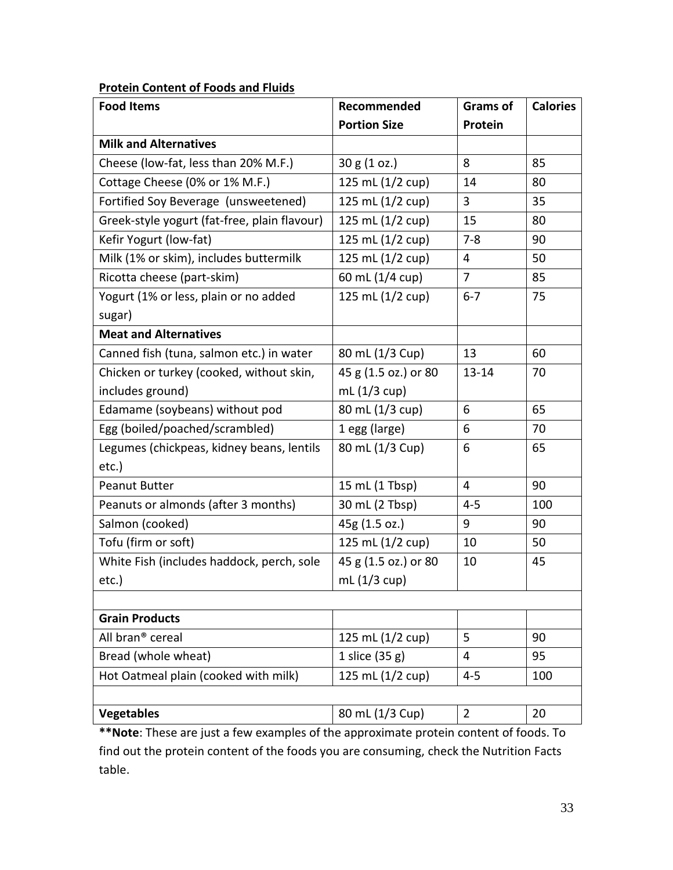## **Protein Content of Foods and Fluids**

| <b>Food Items</b>                            | Recommended          | <b>Grams of</b> | <b>Calories</b> |
|----------------------------------------------|----------------------|-----------------|-----------------|
|                                              | <b>Portion Size</b>  | Protein         |                 |
| <b>Milk and Alternatives</b>                 |                      |                 |                 |
| Cheese (low-fat, less than 20% M.F.)         | 30 g (1 oz.)         | 8               | 85              |
| Cottage Cheese (0% or 1% M.F.)               | 125 mL (1/2 cup)     | 14              | 80              |
| Fortified Soy Beverage (unsweetened)         | 125 mL (1/2 cup)     | 3               | 35              |
| Greek-style yogurt (fat-free, plain flavour) | 125 mL (1/2 cup)     | 15              | 80              |
| Kefir Yogurt (low-fat)                       | 125 mL (1/2 cup)     | $7 - 8$         | 90              |
| Milk (1% or skim), includes buttermilk       | 125 mL (1/2 cup)     | 4               | 50              |
| Ricotta cheese (part-skim)                   | 60 mL (1/4 cup)      | $\overline{7}$  | 85              |
| Yogurt (1% or less, plain or no added        | 125 mL (1/2 cup)     | $6 - 7$         | 75              |
| sugar)                                       |                      |                 |                 |
| <b>Meat and Alternatives</b>                 |                      |                 |                 |
| Canned fish (tuna, salmon etc.) in water     | 80 mL (1/3 Cup)      | 13              | 60              |
| Chicken or turkey (cooked, without skin,     | 45 g (1.5 oz.) or 80 | $13 - 14$       | 70              |
| includes ground)                             | mL $(1/3$ cup)       |                 |                 |
| Edamame (soybeans) without pod               | 80 mL (1/3 cup)      | 6               | 65              |
| Egg (boiled/poached/scrambled)               | 1 egg (large)        | 6               | 70              |
| Legumes (chickpeas, kidney beans, lentils    | 80 mL (1/3 Cup)      | 6               | 65              |
| etc.)                                        |                      |                 |                 |
| <b>Peanut Butter</b>                         | 15 mL (1 Tbsp)       | 4               | 90              |
| Peanuts or almonds (after 3 months)          | 30 mL (2 Tbsp)       | $4 - 5$         | 100             |
| Salmon (cooked)                              | 45g (1.5 oz.)        | 9               | 90              |
| Tofu (firm or soft)                          | 125 mL (1/2 cup)     | 10              | 50              |
| White Fish (includes haddock, perch, sole    | 45 g (1.5 oz.) or 80 | 10              | 45              |
| $etc.$ )                                     | mL $(1/3$ cup)       |                 |                 |
|                                              |                      |                 |                 |
| <b>Grain Products</b>                        |                      |                 |                 |
| All bran <sup>®</sup> cereal                 | 125 mL (1/2 cup)     | 5               | 90              |
| Bread (whole wheat)                          | 1 slice (35 g)       | 4               | 95              |
| Hot Oatmeal plain (cooked with milk)         | 125 mL (1/2 cup)     | $4 - 5$         | 100             |
|                                              |                      |                 |                 |
| <b>Vegetables</b>                            | 80 mL (1/3 Cup)      | $\overline{2}$  | 20              |

**\*Note**: These are just a few examples of the approximate protein content of foods. To find out the protein content of the foods you are consuming, check the Nutrition Facts table.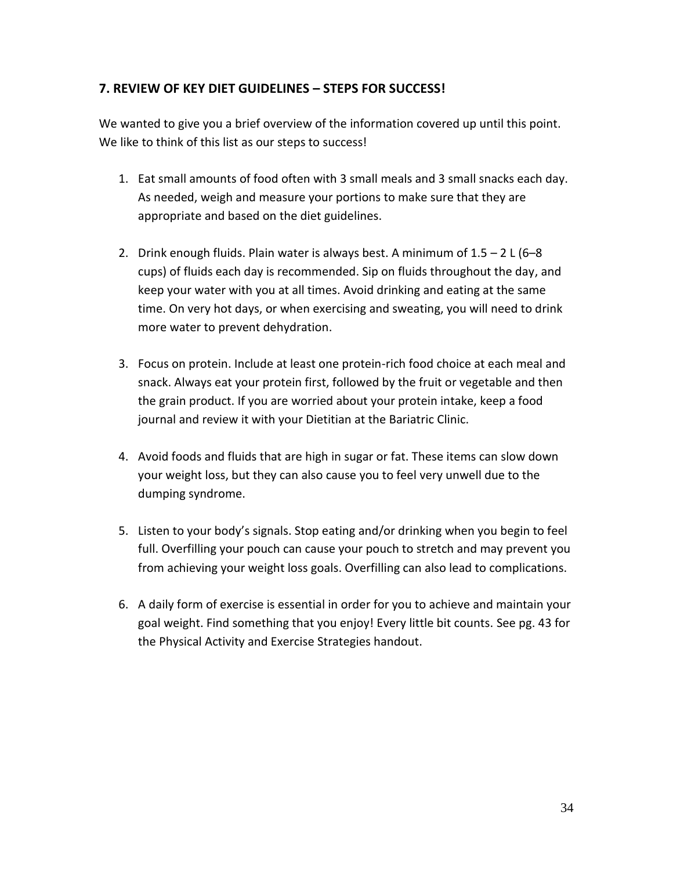## **7. REVIEW OF KEY DIET GUIDELINES – STEPS FOR SUCCESS!**

We wanted to give you a brief overview of the information covered up until this point. We like to think of this list as our steps to success!

- 1. Eat small amounts of food often with 3 small meals and 3 small snacks each day. As needed, weigh and measure your portions to make sure that they are appropriate and based on the diet guidelines.
- 2. Drink enough fluids. Plain water is always best. A minimum of  $1.5 2$  L (6-8 cups) of fluids each day is recommended. Sip on fluids throughout the day, and keep your water with you at all times. Avoid drinking and eating at the same time. On very hot days, or when exercising and sweating, you will need to drink more water to prevent dehydration.
- 3. Focus on protein. Include at least one protein-rich food choice at each meal and snack. Always eat your protein first, followed by the fruit or vegetable and then the grain product. If you are worried about your protein intake, keep a food journal and review it with your Dietitian at the Bariatric Clinic.
- 4. Avoid foods and fluids that are high in sugar or fat. These items can slow down your weight loss, but they can also cause you to feel very unwell due to the dumping syndrome.
- 5. Listen to your body's signals. Stop eating and/or drinking when you begin to feel full. Overfilling your pouch can cause your pouch to stretch and may prevent you from achieving your weight loss goals. Overfilling can also lead to complications.
- 6. A daily form of exercise is essential in order for you to achieve and maintain your goal weight. Find something that you enjoy! Every little bit counts. See pg. 43 for the Physical Activity and Exercise Strategies handout.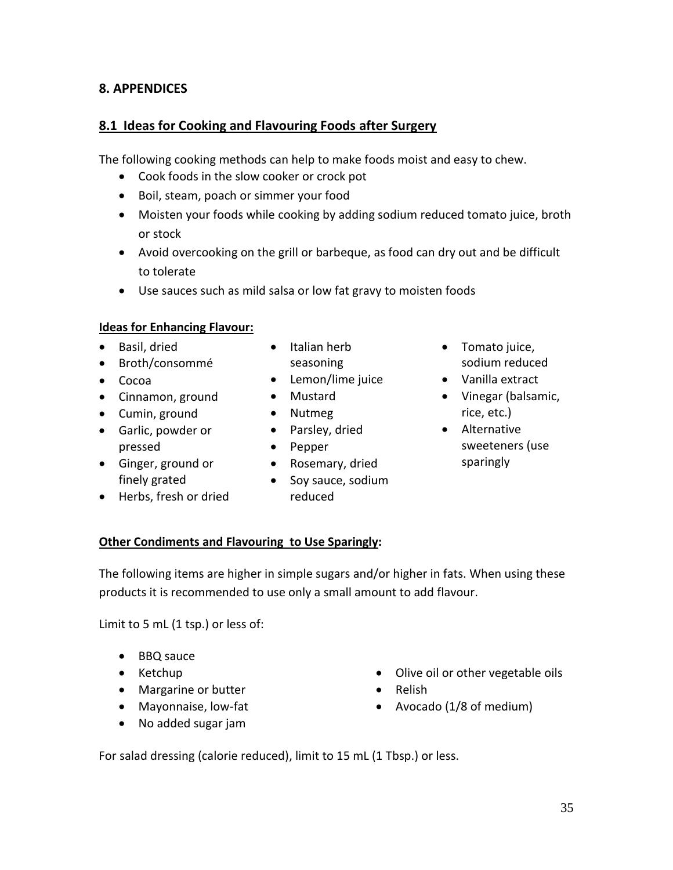## **8. APPENDICES**

## **8.1 Ideas for Cooking and Flavouring Foods after Surgery**

The following cooking methods can help to make foods moist and easy to chew.

- Cook foods in the slow cooker or crock pot
- Boil, steam, poach or simmer your food
- Moisten your foods while cooking by adding sodium reduced tomato juice, broth or stock
- Avoid overcooking on the grill or barbeque, as food can dry out and be difficult to tolerate
- Use sauces such as mild salsa or low fat gravy to moisten foods

## **Ideas for Enhancing Flavour:**

- Basil, dried
- Broth/consommé
- Cocoa
- Cinnamon, ground
- Cumin, ground
- Garlic, powder or pressed
- Ginger, ground or finely grated
- Herbs, fresh or dried
- Italian herb seasoning
- Lemon/lime juice
- Mustard
- Nutmeg
- Parsley, dried
- Pepper
- Rosemary, dried
- Soy sauce, sodium reduced
- Tomato juice, sodium reduced
- Vanilla extract
- Vinegar (balsamic, rice, etc.)
- Alternative sweeteners (use sparingly

## **Other Condiments and Flavouring to Use Sparingly:**

The following items are higher in simple sugars and/or higher in fats. When using these products it is recommended to use only a small amount to add flavour.

Limit to 5 mL (1 tsp.) or less of:

- BBQ sauce
- Ketchup
- Margarine or butter
- Mayonnaise, low-fat
- No added sugar jam
- Olive oil or other vegetable oils
- Relish
- Avocado (1/8 of medium)

For salad dressing (calorie reduced), limit to 15 mL (1 Tbsp.) or less.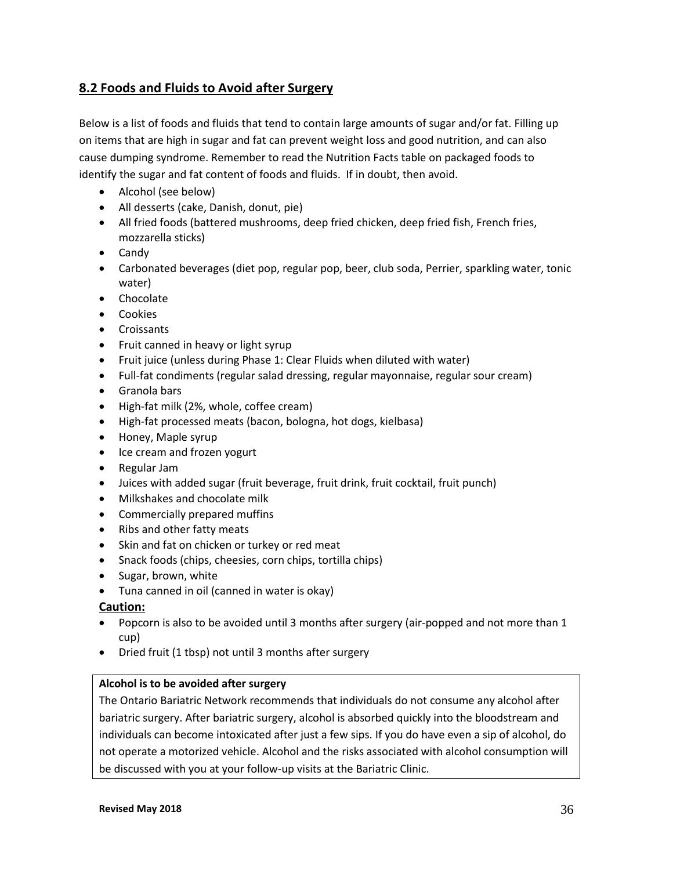## **8.2 Foods and Fluids to Avoid after Surgery**

Below is a list of foods and fluids that tend to contain large amounts of sugar and/or fat. Filling up on items that are high in sugar and fat can prevent weight loss and good nutrition, and can also cause dumping syndrome. Remember to read the Nutrition Facts table on packaged foods to identify the sugar and fat content of foods and fluids. If in doubt, then avoid.

- Alcohol (see below)
- All desserts (cake, Danish, donut, pie)
- All fried foods (battered mushrooms, deep fried chicken, deep fried fish, French fries, mozzarella sticks)
- Candy
- Carbonated beverages (diet pop, regular pop, beer, club soda, Perrier, sparkling water, tonic water)
- Chocolate
- Cookies
- Croissants
- Fruit canned in heavy or light syrup
- Fruit juice (unless during Phase 1: Clear Fluids when diluted with water)
- Full-fat condiments (regular salad dressing, regular mayonnaise, regular sour cream)
- Granola bars
- High-fat milk (2%, whole, coffee cream)
- High-fat processed meats (bacon, bologna, hot dogs, kielbasa)
- Honey, Maple syrup
- Ice cream and frozen yogurt
- Regular Jam
- Juices with added sugar (fruit beverage, fruit drink, fruit cocktail, fruit punch)
- Milkshakes and chocolate milk
- Commercially prepared muffins
- Ribs and other fatty meats
- Skin and fat on chicken or turkey or red meat
- Snack foods (chips, cheesies, corn chips, tortilla chips)
- Sugar, brown, white
- Tuna canned in oil (canned in water is okay)

#### **Caution:**

- Popcorn is also to be avoided until 3 months after surgery (air-popped and not more than 1 cup)
- Dried fruit (1 tbsp) not until 3 months after surgery

#### **Alcohol is to be avoided after surgery**

The Ontario Bariatric Network recommends that individuals do not consume any alcohol after bariatric surgery. After bariatric surgery, alcohol is absorbed quickly into the bloodstream and individuals can become intoxicated after just a few sips. If you do have even a sip of alcohol, do not operate a motorized vehicle. Alcohol and the risks associated with alcohol consumption will be discussed with you at your follow-up visits at the Bariatric Clinic.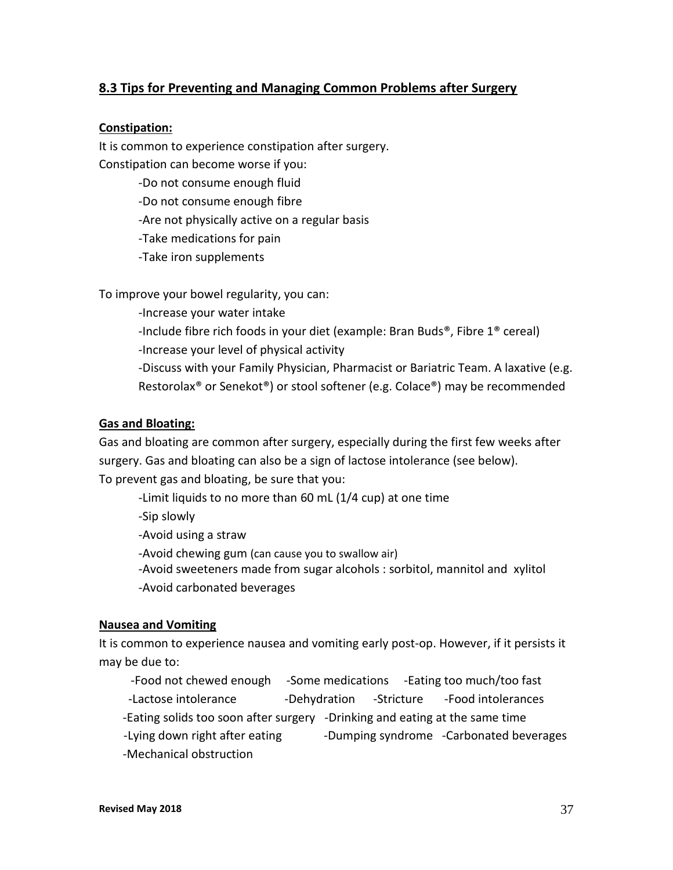## **8.3 Tips for Preventing and Managing Common Problems after Surgery**

#### **Constipation:**

It is common to experience constipation after surgery. Constipation can become worse if you:

> -Do not consume enough fluid -Do not consume enough fibre -Are not physically active on a regular basis -Take medications for pain -Take iron supplements

To improve your bowel regularity, you can:

 -Increase your water intake -Include fibre rich foods in your diet (example: Bran Buds®, Fibre 1® cereal) -Increase your level of physical activity -Discuss with your Family Physician, Pharmacist or Bariatric Team. A laxative (e.g. Restorolax® or Senekot®) or stool softener (e.g. Colace®) may be recommended

#### **Gas and Bloating:**

Gas and bloating are common after surgery, especially during the first few weeks after surgery. Gas and bloating can also be a sign of lactose intolerance (see below). To prevent gas and bloating, be sure that you:

-Limit liquids to no more than 60 mL (1/4 cup) at one time

-Sip slowly

-Avoid using a straw

-Avoid chewing gum (can cause you to swallow air)

 -Avoid sweeteners made from sugar alcohols : sorbitol, mannitol and xylitol -Avoid carbonated beverages

#### **Nausea and Vomiting**

It is common to experience nausea and vomiting early post-op. However, if it persists it may be due to:

-Food not chewed enough -Some medications -Eating too much/too fast -Lactose intolerance and -Dehydration -Stricture -Food intolerances -Eating solids too soon after surgery -Drinking and eating at the same time -Lying down right after eating The Dumping syndrome -Carbonated beverages -Mechanical obstruction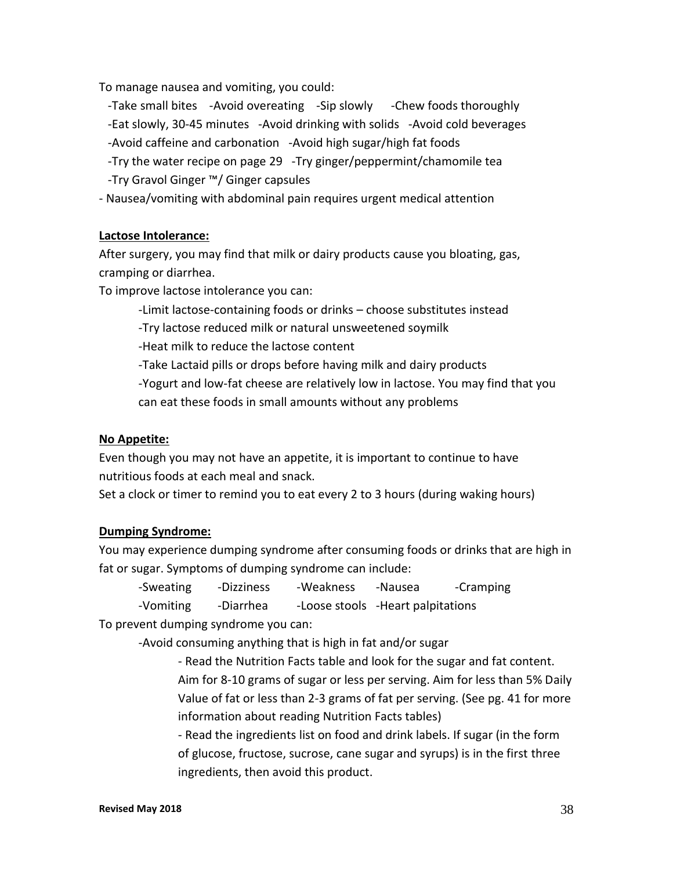To manage nausea and vomiting, you could:

- -Take small bites -Avoid overeating -Sip slowly -Chew foods thoroughly
- -Eat slowly, 30-45 minutes -Avoid drinking with solids -Avoid cold beverages
- -Avoid caffeine and carbonation -Avoid high sugar/high fat foods
- -Try the water recipe on page 29 -Try ginger/peppermint/chamomile tea
- -Try Gravol Ginger ™/ Ginger capsules

- Nausea/vomiting with abdominal pain requires urgent medical attention

#### **Lactose Intolerance:**

After surgery, you may find that milk or dairy products cause you bloating, gas, cramping or diarrhea.

To improve lactose intolerance you can:

-Limit lactose-containing foods or drinks – choose substitutes instead

-Try lactose reduced milk or natural unsweetened soymilk

-Heat milk to reduce the lactose content

-Take Lactaid pills or drops before having milk and dairy products

-Yogurt and low-fat cheese are relatively low in lactose. You may find that you can eat these foods in small amounts without any problems

#### **No Appetite:**

Even though you may not have an appetite, it is important to continue to have nutritious foods at each meal and snack.

Set a clock or timer to remind you to eat every 2 to 3 hours (during waking hours)

#### **Dumping Syndrome:**

You may experience dumping syndrome after consuming foods or drinks that are high in fat or sugar. Symptoms of dumping syndrome can include:

-Sweating -Dizziness -Weakness -Nausea -Cramping -Vomiting -Diarrhea -Loose stools -Heart palpitations To prevent dumping syndrome you can:

-Avoid consuming anything that is high in fat and/or sugar

- Read the Nutrition Facts table and look for the sugar and fat content. Aim for 8-10 grams of sugar or less per serving. Aim for less than 5% Daily Value of fat or less than 2-3 grams of fat per serving. (See pg. 41 for more information about reading Nutrition Facts tables)

- Read the ingredients list on food and drink labels. If sugar (in the form of glucose, fructose, sucrose, cane sugar and syrups) is in the first three ingredients, then avoid this product.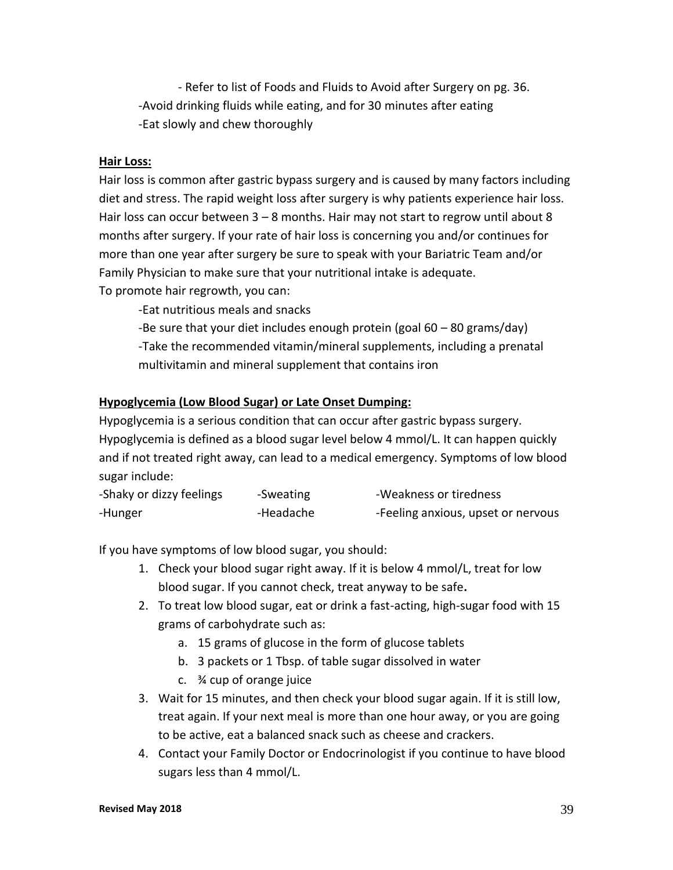- Refer to list of Foods and Fluids to Avoid after Surgery on pg. 36. -Avoid drinking fluids while eating, and for 30 minutes after eating -Eat slowly and chew thoroughly

#### **Hair Loss:**

Hair loss is common after gastric bypass surgery and is caused by many factors including diet and stress. The rapid weight loss after surgery is why patients experience hair loss. Hair loss can occur between  $3 - 8$  months. Hair may not start to regrow until about 8 months after surgery. If your rate of hair loss is concerning you and/or continues for more than one year after surgery be sure to speak with your Bariatric Team and/or Family Physician to make sure that your nutritional intake is adequate. To promote hair regrowth, you can:

-Eat nutritious meals and snacks

 -Be sure that your diet includes enough protein (goal 60 – 80 grams/day) -Take the recommended vitamin/mineral supplements, including a prenatal multivitamin and mineral supplement that contains iron

#### **Hypoglycemia (Low Blood Sugar) or Late Onset Dumping:**

Hypoglycemia is a serious condition that can occur after gastric bypass surgery. Hypoglycemia is defined as a blood sugar level below 4 mmol/L. It can happen quickly and if not treated right away, can lead to a medical emergency. Symptoms of low blood sugar include:

| -Shaky or dizzy feelings | -Sweating | -Weakness or tiredness             |
|--------------------------|-----------|------------------------------------|
| -Hunger                  | -Headache | -Feeling anxious, upset or nervous |

If you have symptoms of low blood sugar, you should:

- 1. Check your blood sugar right away. If it is below 4 mmol/L, treat for low blood sugar. If you cannot check, treat anyway to be safe**.**
- 2. To treat low blood sugar, eat or drink a fast-acting, high-sugar food with 15 grams of carbohydrate such as:
	- a. 15 grams of glucose in the form of glucose tablets
	- b. 3 packets or 1 Tbsp. of table sugar dissolved in water
	- c. ¾ cup of orange juice
- 3. Wait for 15 minutes, and then check your blood sugar again. If it is still low, treat again. If your next meal is more than one hour away, or you are going to be active, eat a balanced snack such as cheese and crackers.
- 4. Contact your Family Doctor or Endocrinologist if you continue to have blood sugars less than 4 mmol/L.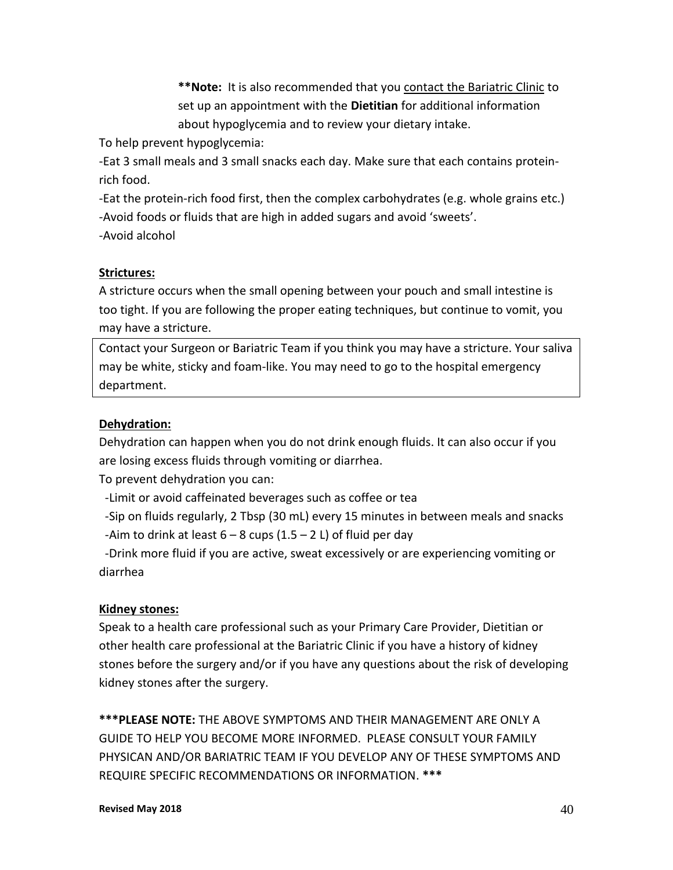**\*\*Note:** It is also recommended that you contact the Bariatric Clinic to set up an appointment with the **Dietitian** for additional information about hypoglycemia and to review your dietary intake.

To help prevent hypoglycemia:

-Eat 3 small meals and 3 small snacks each day. Make sure that each contains proteinrich food.

-Eat the protein-rich food first, then the complex carbohydrates (e.g. whole grains etc.) -Avoid foods or fluids that are high in added sugars and avoid 'sweets'. -Avoid alcohol

#### **Strictures:**

A stricture occurs when the small opening between your pouch and small intestine is too tight. If you are following the proper eating techniques, but continue to vomit, you may have a stricture.

Contact your Surgeon or Bariatric Team if you think you may have a stricture. Your saliva may be white, sticky and foam-like. You may need to go to the hospital emergency department.

#### **Dehydration:**

Dehydration can happen when you do not drink enough fluids. It can also occur if you are losing excess fluids through vomiting or diarrhea.

To prevent dehydration you can:

-Limit or avoid caffeinated beverages such as coffee or tea

 -Sip on fluids regularly, 2 Tbsp (30 mL) every 15 minutes in between meals and snacks -Aim to drink at least  $6 - 8$  cups  $(1.5 - 2 1)$  of fluid per day

 -Drink more fluid if you are active, sweat excessively or are experiencing vomiting or diarrhea

#### **Kidney stones:**

Speak to a health care professional such as your Primary Care Provider, Dietitian or other health care professional at the Bariatric Clinic if you have a history of kidney stones before the surgery and/or if you have any questions about the risk of developing kidney stones after the surgery.

**\*\*\*PLEASE NOTE:** THE ABOVE SYMPTOMS AND THEIR MANAGEMENT ARE ONLY A GUIDE TO HELP YOU BECOME MORE INFORMED. PLEASE CONSULT YOUR FAMILY PHYSICAN AND/OR BARIATRIC TEAM IF YOU DEVELOP ANY OF THESE SYMPTOMS AND REQUIRE SPECIFIC RECOMMENDATIONS OR INFORMATION. **\*\*\***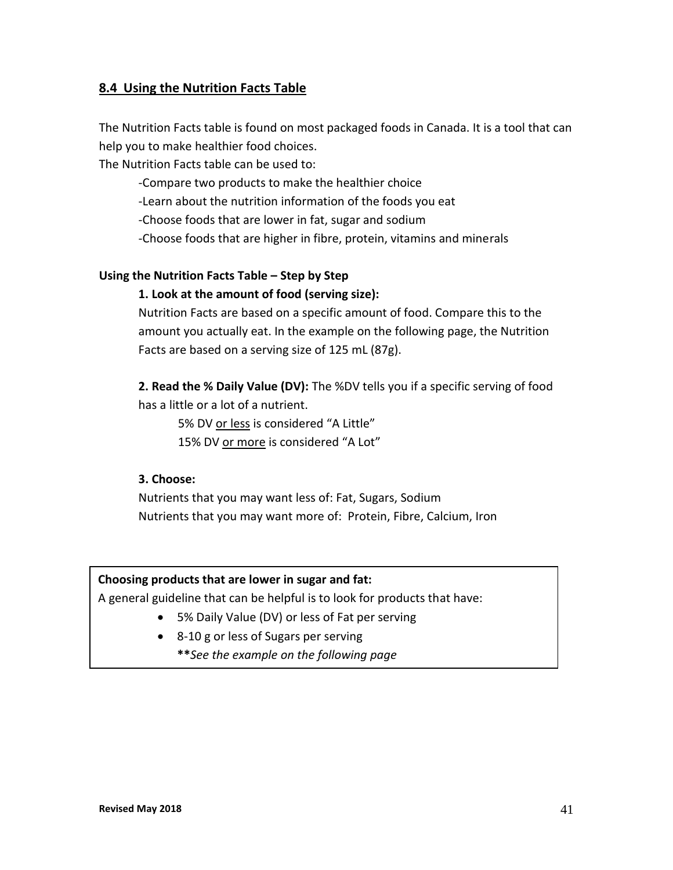## **8.4 Using the Nutrition Facts Table**

The Nutrition Facts table is found on most packaged foods in Canada. It is a tool that can help you to make healthier food choices.

The Nutrition Facts table can be used to:

-Compare two products to make the healthier choice

-Learn about the nutrition information of the foods you eat

-Choose foods that are lower in fat, sugar and sodium

-Choose foods that are higher in fibre, protein, vitamins and minerals

#### **Using the Nutrition Facts Table – Step by Step**

#### **1. Look at the amount of food (serving size):**

Nutrition Facts are based on a specific amount of food. Compare this to the amount you actually eat. In the example on the following page, the Nutrition Facts are based on a serving size of 125 mL (87g).

**2. Read the % Daily Value (DV):** The %DV tells you if a specific serving of food has a little or a lot of a nutrient.

5% DV or less is considered "A Little" 15% DV or more is considered "A Lot"

#### **3. Choose:**

Nutrients that you may want less of: Fat, Sugars, Sodium Nutrients that you may want more of: Protein, Fibre, Calcium, Iron

#### **Choosing products that are lower in sugar and fat:**

A general guideline that can be helpful is to look for products that have:

- 5% Daily Value (DV) or less of Fat per serving
- 8-10 g or less of Sugars per serving
	- **\*\****See the example on the following page*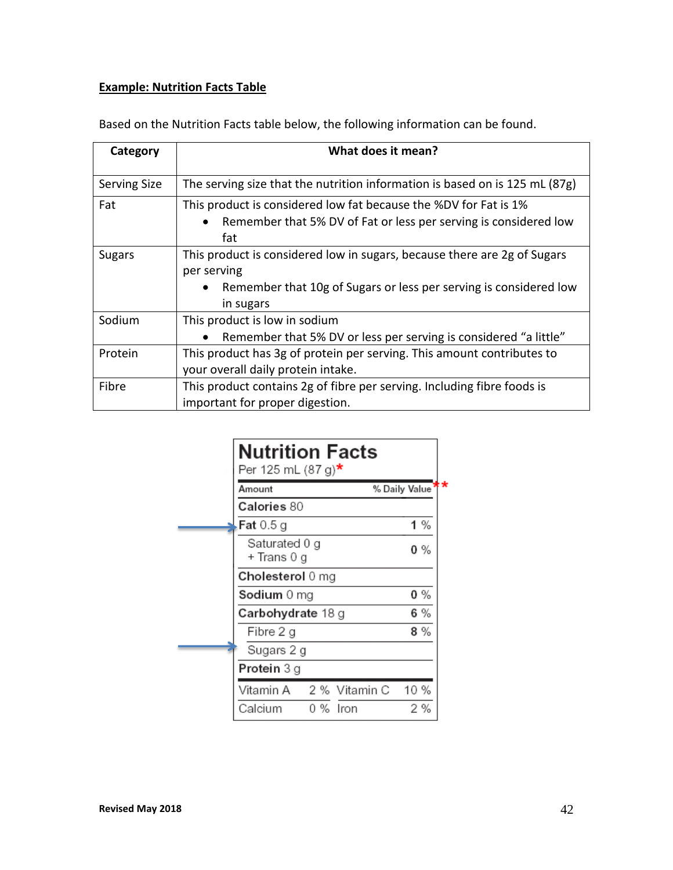## **Example: Nutrition Facts Table**

| Category            | What does it mean?                                                            |
|---------------------|-------------------------------------------------------------------------------|
|                     |                                                                               |
| <b>Serving Size</b> | The serving size that the nutrition information is based on is 125 mL $(87g)$ |
| Fat                 | This product is considered low fat because the %DV for Fat is 1%              |
|                     | Remember that 5% DV of Fat or less per serving is considered low              |
|                     | fat                                                                           |
| <b>Sugars</b>       | This product is considered low in sugars, because there are 2g of Sugars      |
|                     | per serving                                                                   |
|                     | Remember that 10g of Sugars or less per serving is considered low             |
|                     | in sugars                                                                     |
| Sodium              | This product is low in sodium                                                 |
|                     | Remember that 5% DV or less per serving is considered "a little"              |
| Protein             | This product has 3g of protein per serving. This amount contributes to        |
|                     | your overall daily protein intake.                                            |
| Fibre               | This product contains 2g of fibre per serving. Including fibre foods is       |
|                     | important for proper digestion.                                               |

Based on the Nutrition Facts table below, the following information can be found.

| <b>Nutrition Facts</b><br>Per 125 mL (87 g)* |               |
|----------------------------------------------|---------------|
| Amount                                       | % Daily Value |
| Calories 80                                  |               |
| Fat $0.5g$                                   | 1%            |
| Saturated 0 g<br>+ Trans 0 g                 | 0 %           |
| Cholesterol 0 mg                             |               |
| Sodium 0 mg                                  | 0 %           |
| Carbohydrate 18 g                            | 6 %           |
| Fibre 2 g                                    | 8 %           |
| Sugars 2 g                                   |               |
| Protein 3 g                                  |               |
| Vitamin A 2 % Vitamin C                      | 10%           |
| Calcium<br>0 %<br>Iron                       | 2 %           |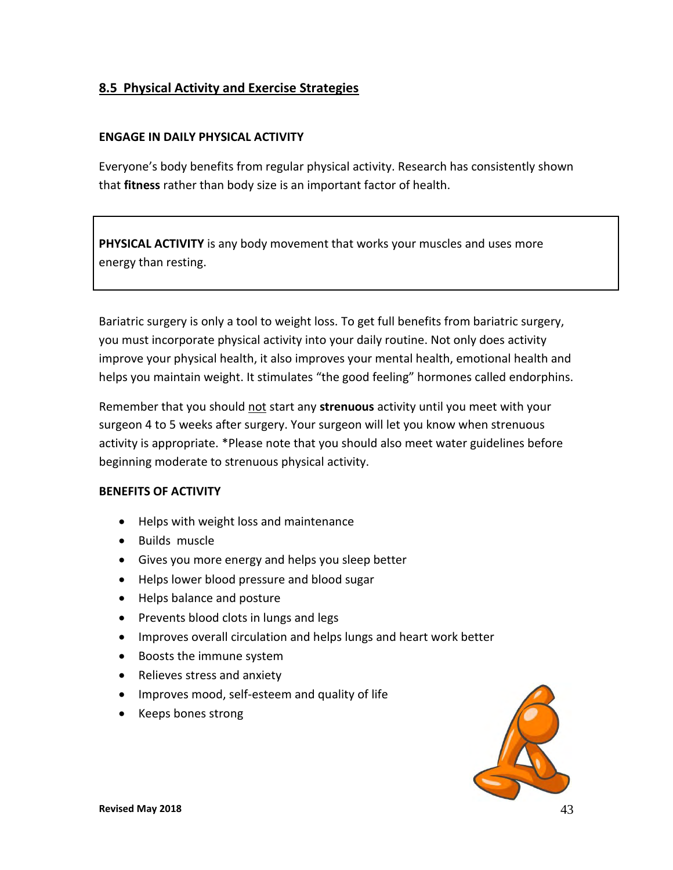## **8.5 Physical Activity and Exercise Strategies**

#### **ENGAGE IN DAILY PHYSICAL ACTIVITY**

Everyone's body benefits from regular physical activity. Research has consistently shown that **fitness** rather than body size is an important factor of health.

**PHYSICAL ACTIVITY** is any body movement that works your muscles and uses more energy than resting.

Bariatric surgery is only a tool to weight loss. To get full benefits from bariatric surgery, you must incorporate physical activity into your daily routine. Not only does activity improve your physical health, it also improves your mental health, emotional health and helps you maintain weight. It stimulates "the good feeling" hormones called endorphins.

Remember that you should not start any **strenuous** activity until you meet with your surgeon 4 to 5 weeks after surgery. Your surgeon will let you know when strenuous activity is appropriate. \*Please note that you should also meet water guidelines before beginning moderate to strenuous physical activity.

#### **BENEFITS OF ACTIVITY**

- Helps with weight loss and maintenance
- Builds muscle
- Gives you more energy and helps you sleep better
- Helps lower blood pressure and blood sugar
- Helps balance and posture
- Prevents blood clots in lungs and legs
- Improves overall circulation and helps lungs and heart work better
- Boosts the immune system
- Relieves stress and anxiety
- Improves mood, self-esteem and quality of life
- Keeps bones strong

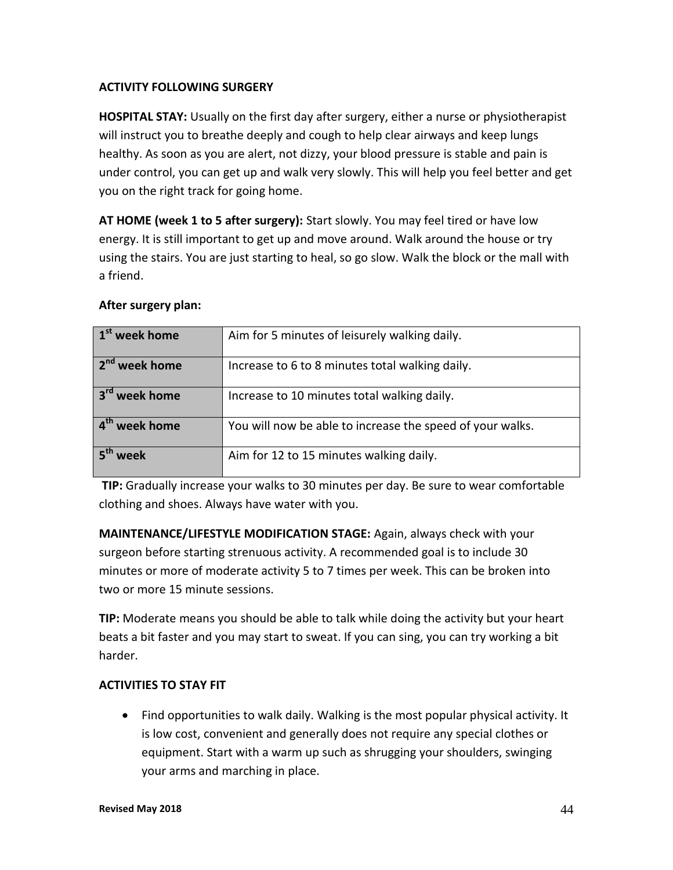#### **ACTIVITY FOLLOWING SURGERY**

**HOSPITAL STAY:** Usually on the first day after surgery, either a nurse or physiotherapist will instruct you to breathe deeply and cough to help clear airways and keep lungs healthy. As soon as you are alert, not dizzy, your blood pressure is stable and pain is under control, you can get up and walk very slowly. This will help you feel better and get you on the right track for going home.

**AT HOME (week 1 to 5 after surgery):** Start slowly. You may feel tired or have low energy. It is still important to get up and move around. Walk around the house or try using the stairs. You are just starting to heal, so go slow. Walk the block or the mall with a friend.

| 1 <sup>st</sup> week home | Aim for 5 minutes of leisurely walking daily.             |
|---------------------------|-----------------------------------------------------------|
| 2 <sup>nd</sup> week home | Increase to 6 to 8 minutes total walking daily.           |
| 3 <sup>rd</sup> week home | Increase to 10 minutes total walking daily.               |
| 4 <sup>th</sup> week home | You will now be able to increase the speed of your walks. |
| week                      | Aim for 12 to 15 minutes walking daily.                   |

#### **After surgery plan:**

**TIP:** Gradually increase your walks to 30 minutes per day. Be sure to wear comfortable clothing and shoes. Always have water with you.

**MAINTENANCE/LIFESTYLE MODIFICATION STAGE:** Again, always check with your surgeon before starting strenuous activity. A recommended goal is to include 30 minutes or more of moderate activity 5 to 7 times per week. This can be broken into two or more 15 minute sessions.

**TIP:** Moderate means you should be able to talk while doing the activity but your heart beats a bit faster and you may start to sweat. If you can sing, you can try working a bit harder.

#### **ACTIVITIES TO STAY FIT**

 Find opportunities to walk daily. Walking is the most popular physical activity. It is low cost, convenient and generally does not require any special clothes or equipment. Start with a warm up such as shrugging your shoulders, swinging your arms and marching in place.